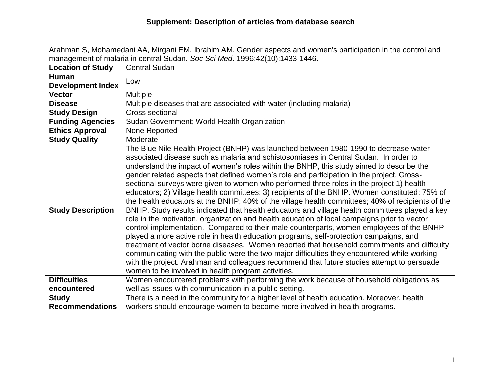|                          | management of malaria in central Sudan. Soc Sci Med. 1996;42(10):1433-1446.                                                                                                                                                                                                                                                                                                                                                                                                                                                                                                                                                                                                                                                                                                                                                                                                                                                                                                                                                                                                                                                                                                                                                                                                                                                                                                                                        |
|--------------------------|--------------------------------------------------------------------------------------------------------------------------------------------------------------------------------------------------------------------------------------------------------------------------------------------------------------------------------------------------------------------------------------------------------------------------------------------------------------------------------------------------------------------------------------------------------------------------------------------------------------------------------------------------------------------------------------------------------------------------------------------------------------------------------------------------------------------------------------------------------------------------------------------------------------------------------------------------------------------------------------------------------------------------------------------------------------------------------------------------------------------------------------------------------------------------------------------------------------------------------------------------------------------------------------------------------------------------------------------------------------------------------------------------------------------|
| <b>Location of Study</b> | <b>Central Sudan</b>                                                                                                                                                                                                                                                                                                                                                                                                                                                                                                                                                                                                                                                                                                                                                                                                                                                                                                                                                                                                                                                                                                                                                                                                                                                                                                                                                                                               |
| Human                    | Low                                                                                                                                                                                                                                                                                                                                                                                                                                                                                                                                                                                                                                                                                                                                                                                                                                                                                                                                                                                                                                                                                                                                                                                                                                                                                                                                                                                                                |
| <b>Development Index</b> |                                                                                                                                                                                                                                                                                                                                                                                                                                                                                                                                                                                                                                                                                                                                                                                                                                                                                                                                                                                                                                                                                                                                                                                                                                                                                                                                                                                                                    |
| <b>Vector</b>            | <b>Multiple</b>                                                                                                                                                                                                                                                                                                                                                                                                                                                                                                                                                                                                                                                                                                                                                                                                                                                                                                                                                                                                                                                                                                                                                                                                                                                                                                                                                                                                    |
| <b>Disease</b>           | Multiple diseases that are associated with water (including malaria)                                                                                                                                                                                                                                                                                                                                                                                                                                                                                                                                                                                                                                                                                                                                                                                                                                                                                                                                                                                                                                                                                                                                                                                                                                                                                                                                               |
| <b>Study Design</b>      | Cross sectional                                                                                                                                                                                                                                                                                                                                                                                                                                                                                                                                                                                                                                                                                                                                                                                                                                                                                                                                                                                                                                                                                                                                                                                                                                                                                                                                                                                                    |
| <b>Funding Agencies</b>  | Sudan Government; World Health Organization                                                                                                                                                                                                                                                                                                                                                                                                                                                                                                                                                                                                                                                                                                                                                                                                                                                                                                                                                                                                                                                                                                                                                                                                                                                                                                                                                                        |
| <b>Ethics Approval</b>   | None Reported                                                                                                                                                                                                                                                                                                                                                                                                                                                                                                                                                                                                                                                                                                                                                                                                                                                                                                                                                                                                                                                                                                                                                                                                                                                                                                                                                                                                      |
| <b>Study Quality</b>     | Moderate                                                                                                                                                                                                                                                                                                                                                                                                                                                                                                                                                                                                                                                                                                                                                                                                                                                                                                                                                                                                                                                                                                                                                                                                                                                                                                                                                                                                           |
| <b>Study Description</b> | The Blue Nile Health Project (BNHP) was launched between 1980-1990 to decrease water<br>associated disease such as malaria and schistosomiases in Central Sudan. In order to<br>understand the impact of women's roles within the BNHP, this study aimed to describe the<br>gender related aspects that defined women's role and participation in the project. Cross-<br>sectional surveys were given to women who performed three roles in the project 1) health<br>educators; 2) Village health committees; 3) recipients of the BNHP. Women constituted: 75% of<br>the health educators at the BNHP; 40% of the village health committees; 40% of recipients of the<br>BNHP. Study results indicated that health educators and village health committees played a key<br>role in the motivation, organization and health education of local campaigns prior to vector<br>control implementation. Compared to their male counterparts, women employees of the BNHP<br>played a more active role in health education programs, self-protection campaigns, and<br>treatment of vector borne diseases. Women reported that household commitments and difficulty<br>communicating with the public were the two major difficulties they encountered while working<br>with the project. Arahman and colleagues recommend that future studies attempt to persuade<br>women to be involved in health program activities. |
| <b>Difficulties</b>      | Women encountered problems with performing the work because of household obligations as                                                                                                                                                                                                                                                                                                                                                                                                                                                                                                                                                                                                                                                                                                                                                                                                                                                                                                                                                                                                                                                                                                                                                                                                                                                                                                                            |
| encountered              | well as issues with communication in a public setting.                                                                                                                                                                                                                                                                                                                                                                                                                                                                                                                                                                                                                                                                                                                                                                                                                                                                                                                                                                                                                                                                                                                                                                                                                                                                                                                                                             |
| <b>Study</b>             | There is a need in the community for a higher level of health education. Moreover, health                                                                                                                                                                                                                                                                                                                                                                                                                                                                                                                                                                                                                                                                                                                                                                                                                                                                                                                                                                                                                                                                                                                                                                                                                                                                                                                          |
| <b>Recommendations</b>   | workers should encourage women to become more involved in health programs.                                                                                                                                                                                                                                                                                                                                                                                                                                                                                                                                                                                                                                                                                                                                                                                                                                                                                                                                                                                                                                                                                                                                                                                                                                                                                                                                         |

Arahman S, Mohamedani AA, Mirgani EM, Ibrahim AM. Gender aspects and women's participation in the control and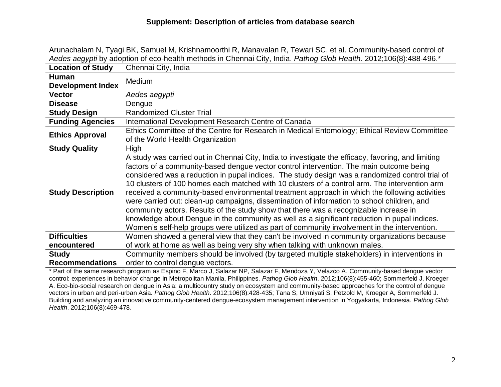|                                          | Aedes aegypti by adoption of eco-health methods in Chennai City, India. Pathog Glob Health. 2012;106(8):488-496.*                                                                                                                                                                                                                                                                                                                                                                                                                                                                                                                                                                                                                                                                                                                                                                         |
|------------------------------------------|-------------------------------------------------------------------------------------------------------------------------------------------------------------------------------------------------------------------------------------------------------------------------------------------------------------------------------------------------------------------------------------------------------------------------------------------------------------------------------------------------------------------------------------------------------------------------------------------------------------------------------------------------------------------------------------------------------------------------------------------------------------------------------------------------------------------------------------------------------------------------------------------|
| <b>Location of Study</b>                 | Chennai City, India                                                                                                                                                                                                                                                                                                                                                                                                                                                                                                                                                                                                                                                                                                                                                                                                                                                                       |
| <b>Human</b><br><b>Development Index</b> | Medium                                                                                                                                                                                                                                                                                                                                                                                                                                                                                                                                                                                                                                                                                                                                                                                                                                                                                    |
| <b>Vector</b>                            | Aedes aegypti                                                                                                                                                                                                                                                                                                                                                                                                                                                                                                                                                                                                                                                                                                                                                                                                                                                                             |
| <b>Disease</b>                           | Dengue                                                                                                                                                                                                                                                                                                                                                                                                                                                                                                                                                                                                                                                                                                                                                                                                                                                                                    |
| <b>Study Design</b>                      | <b>Randomized Cluster Trial</b>                                                                                                                                                                                                                                                                                                                                                                                                                                                                                                                                                                                                                                                                                                                                                                                                                                                           |
| <b>Funding Agencies</b>                  | International Development Research Centre of Canada                                                                                                                                                                                                                                                                                                                                                                                                                                                                                                                                                                                                                                                                                                                                                                                                                                       |
| <b>Ethics Approval</b>                   | Ethics Committee of the Centre for Research in Medical Entomology; Ethical Review Committee<br>of the World Health Organization                                                                                                                                                                                                                                                                                                                                                                                                                                                                                                                                                                                                                                                                                                                                                           |
| <b>Study Quality</b>                     | High                                                                                                                                                                                                                                                                                                                                                                                                                                                                                                                                                                                                                                                                                                                                                                                                                                                                                      |
| <b>Study Description</b>                 | A study was carried out in Chennai City, India to investigate the efficacy, favoring, and limiting<br>factors of a community-based dengue vector control intervention. The main outcome being<br>considered was a reduction in pupal indices. The study design was a randomized control trial of<br>10 clusters of 100 homes each matched with 10 clusters of a control arm. The intervention arm<br>received a community-based environmental treatment approach in which the following activities<br>were carried out: clean-up campaigns, dissemination of information to school children, and<br>community actors. Results of the study show that there was a recognizable increase in<br>knowledge about Dengue in the community as well as a significant reduction in pupal indices.<br>Women's self-help groups were utilized as part of community involvement in the intervention. |
| <b>Difficulties</b>                      | Women showed a general view that they can't be involved in community organizations because                                                                                                                                                                                                                                                                                                                                                                                                                                                                                                                                                                                                                                                                                                                                                                                                |
| encountered                              | of work at home as well as being very shy when talking with unknown males.                                                                                                                                                                                                                                                                                                                                                                                                                                                                                                                                                                                                                                                                                                                                                                                                                |
| <b>Study</b><br><b>Recommendations</b>   | Community members should be involved (by targeted multiple stakeholders) in interventions in<br>order to control dengue vectors.                                                                                                                                                                                                                                                                                                                                                                                                                                                                                                                                                                                                                                                                                                                                                          |

Arunachalam N, Tyagi BK, Samuel M, Krishnamoorthi R, Manavalan R, Tewari SC, et al. Community-based control of

\* Part of the same research program as Espino F, Marco J, Salazar NP, Salazar F, Mendoza Y, Velazco A. Community-based dengue vector control: experiences in behavior change in Metropolitan Manila, Philippines. *Pathog Glob Health*. 2012;106(8):455-460; Sommerfeld J, Kroeger A. Eco-bio-social research on dengue in Asia: a multicountry study on ecosystem and community-based approaches for the control of dengue vectors in urban and peri-urban Asia. *Pathog Glob Health*. 2012;106(8):428-435; Tana S, Umniyati S, Petzold M, Kroeger A, Sommerfeld J. Building and analyzing an innovative community-centered dengue-ecosystem management intervention in Yogyakarta, Indonesia. *Pathog Glob Health*. 2012;106(8):469-478.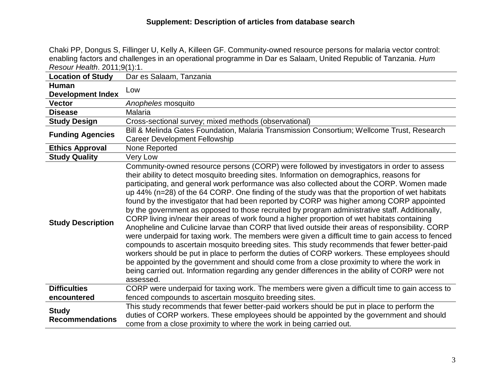Chaki PP, Dongus S, Fillinger U, Kelly A, Killeen GF. Community-owned resource persons for malaria vector control: enabling factors and challenges in an operational programme in Dar es Salaam, United Republic of Tanzania. *Hum Resour Health*. 2011;9(1):1.

| <b>Location of Study</b>                 | Dar es Salaam, Tanzania                                                                                                                                                                                                                                                                                                                                                                                                                                                                                                                                                                                                                                                                                                                                                                                                                                                                                                                                                                                                                                                                                                                                                                                                                                                                                  |
|------------------------------------------|----------------------------------------------------------------------------------------------------------------------------------------------------------------------------------------------------------------------------------------------------------------------------------------------------------------------------------------------------------------------------------------------------------------------------------------------------------------------------------------------------------------------------------------------------------------------------------------------------------------------------------------------------------------------------------------------------------------------------------------------------------------------------------------------------------------------------------------------------------------------------------------------------------------------------------------------------------------------------------------------------------------------------------------------------------------------------------------------------------------------------------------------------------------------------------------------------------------------------------------------------------------------------------------------------------|
| <b>Human</b><br><b>Development Index</b> | Low                                                                                                                                                                                                                                                                                                                                                                                                                                                                                                                                                                                                                                                                                                                                                                                                                                                                                                                                                                                                                                                                                                                                                                                                                                                                                                      |
| <b>Vector</b>                            | Anopheles mosquito                                                                                                                                                                                                                                                                                                                                                                                                                                                                                                                                                                                                                                                                                                                                                                                                                                                                                                                                                                                                                                                                                                                                                                                                                                                                                       |
| <b>Disease</b>                           | Malaria                                                                                                                                                                                                                                                                                                                                                                                                                                                                                                                                                                                                                                                                                                                                                                                                                                                                                                                                                                                                                                                                                                                                                                                                                                                                                                  |
| <b>Study Design</b>                      | Cross-sectional survey; mixed methods (observational)                                                                                                                                                                                                                                                                                                                                                                                                                                                                                                                                                                                                                                                                                                                                                                                                                                                                                                                                                                                                                                                                                                                                                                                                                                                    |
| <b>Funding Agencies</b>                  | Bill & Melinda Gates Foundation, Malaria Transmission Consortium; Wellcome Trust, Research<br><b>Career Development Fellowship</b>                                                                                                                                                                                                                                                                                                                                                                                                                                                                                                                                                                                                                                                                                                                                                                                                                                                                                                                                                                                                                                                                                                                                                                       |
| <b>Ethics Approval</b>                   | None Reported                                                                                                                                                                                                                                                                                                                                                                                                                                                                                                                                                                                                                                                                                                                                                                                                                                                                                                                                                                                                                                                                                                                                                                                                                                                                                            |
| <b>Study Quality</b>                     | Very Low                                                                                                                                                                                                                                                                                                                                                                                                                                                                                                                                                                                                                                                                                                                                                                                                                                                                                                                                                                                                                                                                                                                                                                                                                                                                                                 |
| <b>Study Description</b>                 | Community-owned resource persons (CORP) were followed by investigators in order to assess<br>their ability to detect mosquito breeding sites. Information on demographics, reasons for<br>participating, and general work performance was also collected about the CORP. Women made<br>up 44% (n=28) of the 64 CORP. One finding of the study was that the proportion of wet habitats<br>found by the investigator that had been reported by CORP was higher among CORP appointed<br>by the government as opposed to those recruited by program administrative staff. Additionally,<br>CORP living in/near their areas of work found a higher proportion of wet habitats containing<br>Anopheline and Culicine larvae than CORP that lived outside their areas of responsibility. CORP<br>were underpaid for taxing work. The members were given a difficult time to gain access to fenced<br>compounds to ascertain mosquito breeding sites. This study recommends that fewer better-paid<br>workers should be put in place to perform the duties of CORP workers. These employees should<br>be appointed by the government and should come from a close proximity to where the work in<br>being carried out. Information regarding any gender differences in the ability of CORP were not<br>assessed. |
| <b>Difficulties</b>                      | CORP were underpaid for taxing work. The members were given a difficult time to gain access to                                                                                                                                                                                                                                                                                                                                                                                                                                                                                                                                                                                                                                                                                                                                                                                                                                                                                                                                                                                                                                                                                                                                                                                                           |
| encountered                              | fenced compounds to ascertain mosquito breeding sites.                                                                                                                                                                                                                                                                                                                                                                                                                                                                                                                                                                                                                                                                                                                                                                                                                                                                                                                                                                                                                                                                                                                                                                                                                                                   |
| <b>Study</b><br><b>Recommendations</b>   | This study recommends that fewer better-paid workers should be put in place to perform the<br>duties of CORP workers. These employees should be appointed by the government and should<br>come from a close proximity to where the work in being carried out.                                                                                                                                                                                                                                                                                                                                                                                                                                                                                                                                                                                                                                                                                                                                                                                                                                                                                                                                                                                                                                            |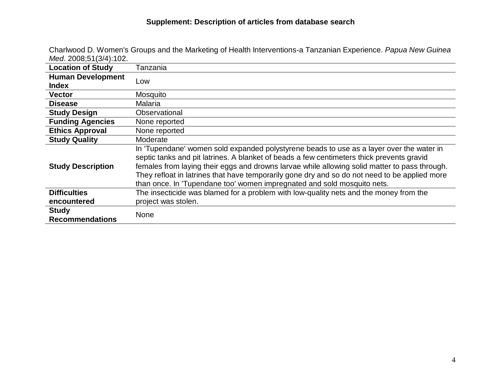| 1710a. 2000,01107 17.102.                |                                                                                                                                                                                                                                                                                                                                                                                                                                                                    |
|------------------------------------------|--------------------------------------------------------------------------------------------------------------------------------------------------------------------------------------------------------------------------------------------------------------------------------------------------------------------------------------------------------------------------------------------------------------------------------------------------------------------|
| <b>Location of Study</b>                 | Tanzania                                                                                                                                                                                                                                                                                                                                                                                                                                                           |
| <b>Human Development</b><br><b>Index</b> | Low                                                                                                                                                                                                                                                                                                                                                                                                                                                                |
| <b>Vector</b>                            | Mosquito                                                                                                                                                                                                                                                                                                                                                                                                                                                           |
| <b>Disease</b>                           | Malaria                                                                                                                                                                                                                                                                                                                                                                                                                                                            |
| <b>Study Design</b>                      | Observational                                                                                                                                                                                                                                                                                                                                                                                                                                                      |
| <b>Funding Agencies</b>                  | None reported                                                                                                                                                                                                                                                                                                                                                                                                                                                      |
| <b>Ethics Approval</b>                   | None reported                                                                                                                                                                                                                                                                                                                                                                                                                                                      |
| <b>Study Quality</b>                     | Moderate                                                                                                                                                                                                                                                                                                                                                                                                                                                           |
| <b>Study Description</b>                 | In 'Tupendane' women sold expanded polystyrene beads to use as a layer over the water in<br>septic tanks and pit latrines. A blanket of beads a few centimeters thick prevents gravid<br>females from laying their eggs and drowns larvae while allowing solid matter to pass through.<br>They refloat in latrines that have temporarily gone dry and so do not need to be applied more<br>than once. In 'Tupendane too' women impregnated and sold mosquito nets. |
| <b>Difficulties</b>                      | The insecticide was blamed for a problem with low-quality nets and the money from the                                                                                                                                                                                                                                                                                                                                                                              |
| encountered                              | project was stolen.                                                                                                                                                                                                                                                                                                                                                                                                                                                |
| <b>Study</b><br><b>Recommendations</b>   | <b>None</b>                                                                                                                                                                                                                                                                                                                                                                                                                                                        |

Charlwood D. Women's Groups and the Marketing of Health Interventions-a Tanzanian Experience. *Papua New Guinea Med*. 2008;51(3/4):102.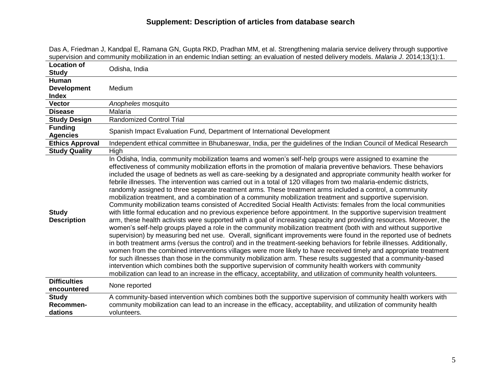| <b>Location of</b>                 | Odisha, India                                                                                                                                                                                                                                                                                                                                                                                                                                                                                                                                                                                                                                                                                                                                                                                                                                                                                                                                                                                                                                                                                                                                                                                                                                                                                                                                                                                                                                                                                                                                                                                                                                                                                                                                                                                                                                                                                                         |
|------------------------------------|-----------------------------------------------------------------------------------------------------------------------------------------------------------------------------------------------------------------------------------------------------------------------------------------------------------------------------------------------------------------------------------------------------------------------------------------------------------------------------------------------------------------------------------------------------------------------------------------------------------------------------------------------------------------------------------------------------------------------------------------------------------------------------------------------------------------------------------------------------------------------------------------------------------------------------------------------------------------------------------------------------------------------------------------------------------------------------------------------------------------------------------------------------------------------------------------------------------------------------------------------------------------------------------------------------------------------------------------------------------------------------------------------------------------------------------------------------------------------------------------------------------------------------------------------------------------------------------------------------------------------------------------------------------------------------------------------------------------------------------------------------------------------------------------------------------------------------------------------------------------------------------------------------------------------|
| <b>Study</b>                       |                                                                                                                                                                                                                                                                                                                                                                                                                                                                                                                                                                                                                                                                                                                                                                                                                                                                                                                                                                                                                                                                                                                                                                                                                                                                                                                                                                                                                                                                                                                                                                                                                                                                                                                                                                                                                                                                                                                       |
| <b>Human</b>                       |                                                                                                                                                                                                                                                                                                                                                                                                                                                                                                                                                                                                                                                                                                                                                                                                                                                                                                                                                                                                                                                                                                                                                                                                                                                                                                                                                                                                                                                                                                                                                                                                                                                                                                                                                                                                                                                                                                                       |
| <b>Development</b>                 | Medium                                                                                                                                                                                                                                                                                                                                                                                                                                                                                                                                                                                                                                                                                                                                                                                                                                                                                                                                                                                                                                                                                                                                                                                                                                                                                                                                                                                                                                                                                                                                                                                                                                                                                                                                                                                                                                                                                                                |
| <b>Index</b>                       |                                                                                                                                                                                                                                                                                                                                                                                                                                                                                                                                                                                                                                                                                                                                                                                                                                                                                                                                                                                                                                                                                                                                                                                                                                                                                                                                                                                                                                                                                                                                                                                                                                                                                                                                                                                                                                                                                                                       |
| <b>Vector</b>                      | Anopheles mosquito                                                                                                                                                                                                                                                                                                                                                                                                                                                                                                                                                                                                                                                                                                                                                                                                                                                                                                                                                                                                                                                                                                                                                                                                                                                                                                                                                                                                                                                                                                                                                                                                                                                                                                                                                                                                                                                                                                    |
| <b>Disease</b>                     | Malaria                                                                                                                                                                                                                                                                                                                                                                                                                                                                                                                                                                                                                                                                                                                                                                                                                                                                                                                                                                                                                                                                                                                                                                                                                                                                                                                                                                                                                                                                                                                                                                                                                                                                                                                                                                                                                                                                                                               |
| <b>Study Design</b>                | <b>Randomized Control Trial</b>                                                                                                                                                                                                                                                                                                                                                                                                                                                                                                                                                                                                                                                                                                                                                                                                                                                                                                                                                                                                                                                                                                                                                                                                                                                                                                                                                                                                                                                                                                                                                                                                                                                                                                                                                                                                                                                                                       |
| <b>Funding</b><br><b>Agencies</b>  | Spanish Impact Evaluation Fund, Department of International Development                                                                                                                                                                                                                                                                                                                                                                                                                                                                                                                                                                                                                                                                                                                                                                                                                                                                                                                                                                                                                                                                                                                                                                                                                                                                                                                                                                                                                                                                                                                                                                                                                                                                                                                                                                                                                                               |
| <b>Ethics Approval</b>             | Independent ethical committee in Bhubaneswar, India, per the guidelines of the Indian Council of Medical Research                                                                                                                                                                                                                                                                                                                                                                                                                                                                                                                                                                                                                                                                                                                                                                                                                                                                                                                                                                                                                                                                                                                                                                                                                                                                                                                                                                                                                                                                                                                                                                                                                                                                                                                                                                                                     |
| <b>Study Quality</b>               | High                                                                                                                                                                                                                                                                                                                                                                                                                                                                                                                                                                                                                                                                                                                                                                                                                                                                                                                                                                                                                                                                                                                                                                                                                                                                                                                                                                                                                                                                                                                                                                                                                                                                                                                                                                                                                                                                                                                  |
| <b>Study</b><br><b>Description</b> | In Odisha, India, community mobilization teams and women's self-help groups were assigned to examine the<br>effectiveness of community mobilization efforts in the promotion of malaria preventive behaviors. These behaviors<br>included the usage of bednets as well as care-seeking by a designated and appropriate community health worker for<br>febrile illnesses. The intervention was carried out in a total of 120 villages from two malaria-endemic districts,<br>randomly assigned to three separate treatment arms. These treatment arms included a control, a community<br>mobilization treatment, and a combination of a community mobilization treatment and supportive supervision.<br>Community mobilization teams consisted of Accredited Social Health Activists: females from the local communities<br>with little formal education and no previous experience before appointment. In the supportive supervision treatment<br>arm, these health activists were supported with a goal of increasing capacity and providing resources. Moreover, the<br>women's self-help groups played a role in the community mobilization treatment (both with and without supportive<br>supervision) by measuring bed net use. Overall, significant improvements were found in the reported use of bednets<br>in both treatment arms (versus the control) and in the treatment-seeking behaviors for febrile illnesses. Additionally,<br>women from the combined interventions villages were more likely to have received timely and appropriate treatment<br>for such illnesses than those in the community mobilization arm. These results suggested that a community-based<br>intervention which combines both the supportive supervision of community health workers with community<br>mobilization can lead to an increase in the efficacy, acceptability, and utilization of community health volunteers. |
| <b>Difficulties</b><br>encountered | None reported                                                                                                                                                                                                                                                                                                                                                                                                                                                                                                                                                                                                                                                                                                                                                                                                                                                                                                                                                                                                                                                                                                                                                                                                                                                                                                                                                                                                                                                                                                                                                                                                                                                                                                                                                                                                                                                                                                         |
| <b>Study</b>                       | A community-based intervention which combines both the supportive supervision of community health workers with                                                                                                                                                                                                                                                                                                                                                                                                                                                                                                                                                                                                                                                                                                                                                                                                                                                                                                                                                                                                                                                                                                                                                                                                                                                                                                                                                                                                                                                                                                                                                                                                                                                                                                                                                                                                        |
| <b>Recommen-</b>                   | community mobilization can lead to an increase in the efficacy, acceptability, and utilization of community health                                                                                                                                                                                                                                                                                                                                                                                                                                                                                                                                                                                                                                                                                                                                                                                                                                                                                                                                                                                                                                                                                                                                                                                                                                                                                                                                                                                                                                                                                                                                                                                                                                                                                                                                                                                                    |
| dations                            | volunteers.                                                                                                                                                                                                                                                                                                                                                                                                                                                                                                                                                                                                                                                                                                                                                                                                                                                                                                                                                                                                                                                                                                                                                                                                                                                                                                                                                                                                                                                                                                                                                                                                                                                                                                                                                                                                                                                                                                           |

Das A, Friedman J, Kandpal E, Ramana GN, Gupta RKD, Pradhan MM, et al. Strengthening malaria service delivery through supportive supervision and community mobilization in an endemic Indian setting: an evaluation of nested delivery models. *Malaria J*. 2014;13(1):1.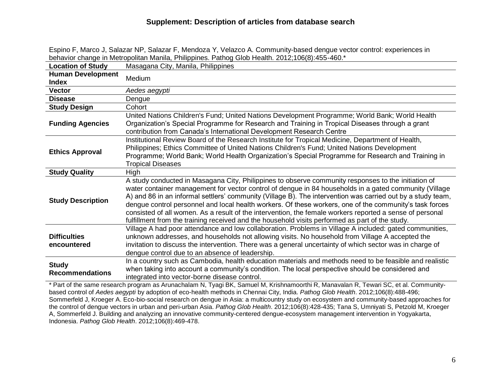| Masagana City, Manila, Philippines<br><b>Location of Study</b><br><b>Human Development</b><br>Medium<br><b>Index</b><br><b>Vector</b><br>Aedes aegypti<br><b>Disease</b><br>Dengue<br><b>Study Design</b><br>Cohort<br>United Nations Children's Fund; United Nations Development Programme; World Bank; World Health<br>Organization's Special Programme for Research and Training in Tropical Diseases through a grant<br><b>Funding Agencies</b><br>contribution from Canada's International Development Research Centre<br>Institutional Review Board of the Research Institute for Tropical Medicine, Department of Health,<br>Philippines; Ethics Committee of United Nations Children's Fund; United Nations Development<br><b>Ethics Approval</b><br>Programme; World Bank; World Health Organization's Special Programme for Research and Training in<br><b>Tropical Diseases</b><br><b>Study Quality</b><br>High<br>A study conducted in Masagana City, Philippines to observe community responses to the initiation of<br>water container management for vector control of dengue in 84 households in a gated community (Village<br>A) and 86 in an informal settlers' community (Village B). The intervention was carried out by a study team,<br><b>Study Description</b><br>dengue control personnel and local health workers. Of these workers, one of the community's task forces<br>consisted of all women. As a result of the intervention, the female workers reported a sense of personal<br>fulfillment from the training received and the household visits performed as part of the study.<br>Village A had poor attendance and low collaboration. Problems in Village A included: gated communities, |
|-----------------------------------------------------------------------------------------------------------------------------------------------------------------------------------------------------------------------------------------------------------------------------------------------------------------------------------------------------------------------------------------------------------------------------------------------------------------------------------------------------------------------------------------------------------------------------------------------------------------------------------------------------------------------------------------------------------------------------------------------------------------------------------------------------------------------------------------------------------------------------------------------------------------------------------------------------------------------------------------------------------------------------------------------------------------------------------------------------------------------------------------------------------------------------------------------------------------------------------------------------------------------------------------------------------------------------------------------------------------------------------------------------------------------------------------------------------------------------------------------------------------------------------------------------------------------------------------------------------------------------------------------------------------------------------------------------------------------------|
|                                                                                                                                                                                                                                                                                                                                                                                                                                                                                                                                                                                                                                                                                                                                                                                                                                                                                                                                                                                                                                                                                                                                                                                                                                                                                                                                                                                                                                                                                                                                                                                                                                                                                                                             |
|                                                                                                                                                                                                                                                                                                                                                                                                                                                                                                                                                                                                                                                                                                                                                                                                                                                                                                                                                                                                                                                                                                                                                                                                                                                                                                                                                                                                                                                                                                                                                                                                                                                                                                                             |
|                                                                                                                                                                                                                                                                                                                                                                                                                                                                                                                                                                                                                                                                                                                                                                                                                                                                                                                                                                                                                                                                                                                                                                                                                                                                                                                                                                                                                                                                                                                                                                                                                                                                                                                             |
|                                                                                                                                                                                                                                                                                                                                                                                                                                                                                                                                                                                                                                                                                                                                                                                                                                                                                                                                                                                                                                                                                                                                                                                                                                                                                                                                                                                                                                                                                                                                                                                                                                                                                                                             |
|                                                                                                                                                                                                                                                                                                                                                                                                                                                                                                                                                                                                                                                                                                                                                                                                                                                                                                                                                                                                                                                                                                                                                                                                                                                                                                                                                                                                                                                                                                                                                                                                                                                                                                                             |
|                                                                                                                                                                                                                                                                                                                                                                                                                                                                                                                                                                                                                                                                                                                                                                                                                                                                                                                                                                                                                                                                                                                                                                                                                                                                                                                                                                                                                                                                                                                                                                                                                                                                                                                             |
|                                                                                                                                                                                                                                                                                                                                                                                                                                                                                                                                                                                                                                                                                                                                                                                                                                                                                                                                                                                                                                                                                                                                                                                                                                                                                                                                                                                                                                                                                                                                                                                                                                                                                                                             |
|                                                                                                                                                                                                                                                                                                                                                                                                                                                                                                                                                                                                                                                                                                                                                                                                                                                                                                                                                                                                                                                                                                                                                                                                                                                                                                                                                                                                                                                                                                                                                                                                                                                                                                                             |
|                                                                                                                                                                                                                                                                                                                                                                                                                                                                                                                                                                                                                                                                                                                                                                                                                                                                                                                                                                                                                                                                                                                                                                                                                                                                                                                                                                                                                                                                                                                                                                                                                                                                                                                             |
|                                                                                                                                                                                                                                                                                                                                                                                                                                                                                                                                                                                                                                                                                                                                                                                                                                                                                                                                                                                                                                                                                                                                                                                                                                                                                                                                                                                                                                                                                                                                                                                                                                                                                                                             |
| <b>Difficulties</b><br>unknown addresses, and households not allowing visits. No household from Village A accepted the<br>invitation to discuss the intervention. There was a general uncertainty of which sector was in charge of<br>encountered<br>dengue control due to an absence of leadership.                                                                                                                                                                                                                                                                                                                                                                                                                                                                                                                                                                                                                                                                                                                                                                                                                                                                                                                                                                                                                                                                                                                                                                                                                                                                                                                                                                                                                        |
| In a country such as Cambodia, health education materials and methods need to be feasible and realistic<br><b>Study</b><br>when taking into account a community's condition. The local perspective should be considered and<br><b>Recommendations</b><br>integrated into vector-borne disease control.<br>* Part of the same research program as Arunachalam N. Tyagi BK, Samuel M. Krishnamoorthi R. Manayalan R. Tewari SC, et al. Community-                                                                                                                                                                                                                                                                                                                                                                                                                                                                                                                                                                                                                                                                                                                                                                                                                                                                                                                                                                                                                                                                                                                                                                                                                                                                             |

Espino F, Marco J, Salazar NP, Salazar F, Mendoza Y, Velazco A. Community-based dengue vector control: experiences in behavior change in Metropolitan Manila, Philippines. Pathog Glob Health. 2012;106(8):455-460.\*

igram as Arunachalam N, Tyagi BK, Samuel M, Krishnamoorthi R, Manavalan R, Tewari SC, based control of *Aedes aegypti* by adoption of eco-health methods in Chennai City, India. *Pathog Glob Health*. 2012;106(8):488-496; Sommerfeld J, Kroeger A. Eco-bio-social research on dengue in Asia: a multicountry study on ecosystem and community-based approaches for the control of dengue vectors in urban and peri-urban Asia. *Pathog Glob Health*. 2012;106(8):428-435; Tana S, Umniyati S, Petzold M, Kroeger A, Sommerfeld J. Building and analyzing an innovative community-centered dengue-ecosystem management intervention in Yogyakarta, Indonesia. *Pathog Glob Health*. 2012;106(8):469-478.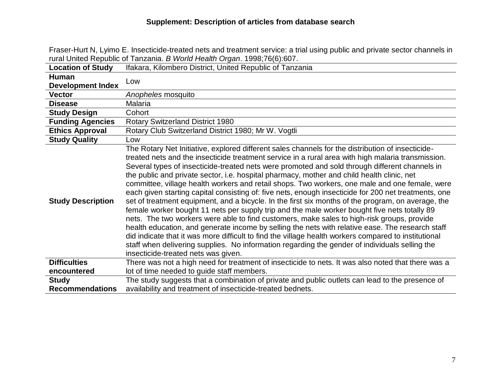Fraser-Hurt N, Lyimo E. Insecticide-treated nets and treatment service: a trial using public and private sector channels in rural United Republic of Tanzania. *B World Health Organ*. 1998;76(6):607.

| <b>Location of Study</b>           | Ifakara, Kilombero District, United Republic of Tanzania                                                                                                                                                                                                                                                                                                                                                                                                                                                                                                                                                                                                                                                                                                                                                                                                                                                                                                                                                                                                                                                                                                                                                                                                                   |
|------------------------------------|----------------------------------------------------------------------------------------------------------------------------------------------------------------------------------------------------------------------------------------------------------------------------------------------------------------------------------------------------------------------------------------------------------------------------------------------------------------------------------------------------------------------------------------------------------------------------------------------------------------------------------------------------------------------------------------------------------------------------------------------------------------------------------------------------------------------------------------------------------------------------------------------------------------------------------------------------------------------------------------------------------------------------------------------------------------------------------------------------------------------------------------------------------------------------------------------------------------------------------------------------------------------------|
| Human                              | Low                                                                                                                                                                                                                                                                                                                                                                                                                                                                                                                                                                                                                                                                                                                                                                                                                                                                                                                                                                                                                                                                                                                                                                                                                                                                        |
| <b>Development Index</b>           |                                                                                                                                                                                                                                                                                                                                                                                                                                                                                                                                                                                                                                                                                                                                                                                                                                                                                                                                                                                                                                                                                                                                                                                                                                                                            |
| <b>Vector</b>                      | Anopheles mosquito                                                                                                                                                                                                                                                                                                                                                                                                                                                                                                                                                                                                                                                                                                                                                                                                                                                                                                                                                                                                                                                                                                                                                                                                                                                         |
| <b>Disease</b>                     | Malaria                                                                                                                                                                                                                                                                                                                                                                                                                                                                                                                                                                                                                                                                                                                                                                                                                                                                                                                                                                                                                                                                                                                                                                                                                                                                    |
| <b>Study Design</b>                | Cohort                                                                                                                                                                                                                                                                                                                                                                                                                                                                                                                                                                                                                                                                                                                                                                                                                                                                                                                                                                                                                                                                                                                                                                                                                                                                     |
| <b>Funding Agencies</b>            | <b>Rotary Switzerland District 1980</b>                                                                                                                                                                                                                                                                                                                                                                                                                                                                                                                                                                                                                                                                                                                                                                                                                                                                                                                                                                                                                                                                                                                                                                                                                                    |
| <b>Ethics Approval</b>             | Rotary Club Switzerland District 1980; Mr W. Vogtli                                                                                                                                                                                                                                                                                                                                                                                                                                                                                                                                                                                                                                                                                                                                                                                                                                                                                                                                                                                                                                                                                                                                                                                                                        |
| <b>Study Quality</b>               | Low                                                                                                                                                                                                                                                                                                                                                                                                                                                                                                                                                                                                                                                                                                                                                                                                                                                                                                                                                                                                                                                                                                                                                                                                                                                                        |
| <b>Study Description</b>           | The Rotary Net Initiative, explored different sales channels for the distribution of insecticide-<br>treated nets and the insecticide treatment service in a rural area with high malaria transmission.<br>Several types of insecticide-treated nets were promoted and sold through different channels in<br>the public and private sector, i.e. hospital pharmacy, mother and child health clinic, net<br>committee, village health workers and retail shops. Two workers, one male and one female, were<br>each given starting capital consisting of: five nets, enough insecticide for 200 net treatments, one<br>set of treatment equipment, and a bicycle. In the first six months of the program, on average, the<br>female worker bought 11 nets per supply trip and the male worker bought five nets totally 89<br>nets. The two workers were able to find customers, make sales to high-risk groups, provide<br>health education, and generate income by selling the nets with relative ease. The research staff<br>did indicate that it was more difficult to find the village health workers compared to institutional<br>staff when delivering supplies. No information regarding the gender of individuals selling the<br>insecticide-treated nets was given. |
| <b>Difficulties</b><br>encountered | There was not a high need for treatment of insecticide to nets. It was also noted that there was a<br>lot of time needed to guide staff members.                                                                                                                                                                                                                                                                                                                                                                                                                                                                                                                                                                                                                                                                                                                                                                                                                                                                                                                                                                                                                                                                                                                           |
| <b>Study</b>                       | The study suggests that a combination of private and public outlets can lead to the presence of                                                                                                                                                                                                                                                                                                                                                                                                                                                                                                                                                                                                                                                                                                                                                                                                                                                                                                                                                                                                                                                                                                                                                                            |
| <b>Recommendations</b>             | availability and treatment of insecticide-treated bednets.                                                                                                                                                                                                                                                                                                                                                                                                                                                                                                                                                                                                                                                                                                                                                                                                                                                                                                                                                                                                                                                                                                                                                                                                                 |
|                                    |                                                                                                                                                                                                                                                                                                                                                                                                                                                                                                                                                                                                                                                                                                                                                                                                                                                                                                                                                                                                                                                                                                                                                                                                                                                                            |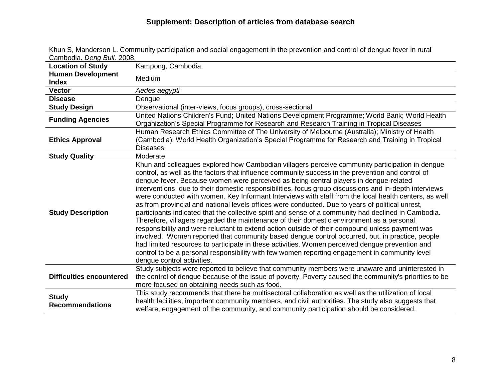| Garnoula. <i>D<del>eriy Dull.</del> 2</i> 000. |                                                                                                                                                                                                                                                                                                                                                                                                                                                                                                                                                                                                                                                                                                                                                                                                                                                                                                                                                                                                                                                                                                                                                                                                                                                                    |
|------------------------------------------------|--------------------------------------------------------------------------------------------------------------------------------------------------------------------------------------------------------------------------------------------------------------------------------------------------------------------------------------------------------------------------------------------------------------------------------------------------------------------------------------------------------------------------------------------------------------------------------------------------------------------------------------------------------------------------------------------------------------------------------------------------------------------------------------------------------------------------------------------------------------------------------------------------------------------------------------------------------------------------------------------------------------------------------------------------------------------------------------------------------------------------------------------------------------------------------------------------------------------------------------------------------------------|
| <b>Location of Study</b>                       | Kampong, Cambodia                                                                                                                                                                                                                                                                                                                                                                                                                                                                                                                                                                                                                                                                                                                                                                                                                                                                                                                                                                                                                                                                                                                                                                                                                                                  |
| <b>Human Development</b><br><b>Index</b>       | Medium                                                                                                                                                                                                                                                                                                                                                                                                                                                                                                                                                                                                                                                                                                                                                                                                                                                                                                                                                                                                                                                                                                                                                                                                                                                             |
| <b>Vector</b>                                  | Aedes aegypti                                                                                                                                                                                                                                                                                                                                                                                                                                                                                                                                                                                                                                                                                                                                                                                                                                                                                                                                                                                                                                                                                                                                                                                                                                                      |
| <b>Disease</b>                                 | Dengue                                                                                                                                                                                                                                                                                                                                                                                                                                                                                                                                                                                                                                                                                                                                                                                                                                                                                                                                                                                                                                                                                                                                                                                                                                                             |
| <b>Study Design</b>                            | Observational (inter-views, focus groups), cross-sectional                                                                                                                                                                                                                                                                                                                                                                                                                                                                                                                                                                                                                                                                                                                                                                                                                                                                                                                                                                                                                                                                                                                                                                                                         |
| <b>Funding Agencies</b>                        | United Nations Children's Fund; United Nations Development Programme; World Bank; World Health<br>Organization's Special Programme for Research and Research Training in Tropical Diseases                                                                                                                                                                                                                                                                                                                                                                                                                                                                                                                                                                                                                                                                                                                                                                                                                                                                                                                                                                                                                                                                         |
| <b>Ethics Approval</b>                         | Human Research Ethics Committee of The University of Melbourne (Australia); Ministry of Health<br>(Cambodia); World Health Organization's Special Programme for Research and Training in Tropical<br><b>Diseases</b>                                                                                                                                                                                                                                                                                                                                                                                                                                                                                                                                                                                                                                                                                                                                                                                                                                                                                                                                                                                                                                               |
| <b>Study Quality</b>                           | Moderate                                                                                                                                                                                                                                                                                                                                                                                                                                                                                                                                                                                                                                                                                                                                                                                                                                                                                                                                                                                                                                                                                                                                                                                                                                                           |
| <b>Study Description</b>                       | Khun and colleagues explored how Cambodian villagers perceive community participation in dengue<br>control, as well as the factors that influence community success in the prevention and control of<br>dengue fever. Because women were perceived as being central players in dengue-related<br>interventions, due to their domestic responsibilities, focus group discussions and in-depth interviews<br>were conducted with women. Key Informant Interviews with staff from the local health centers, as well<br>as from provincial and national levels offices were conducted. Due to years of political unrest,<br>participants indicated that the collective spirit and sense of a community had declined in Cambodia.<br>Therefore, villagers regarded the maintenance of their domestic environment as a personal<br>responsibility and were reluctant to extend action outside of their compound unless payment was<br>involved. Women reported that community based dengue control occurred, but, in practice, people<br>had limited resources to participate in these activities. Women perceived dengue prevention and<br>control to be a personal responsibility with few women reporting engagement in community level<br>dengue control activities. |
| <b>Difficulties encountered</b>                | Study subjects were reported to believe that community members were unaware and uninterested in<br>the control of dengue because of the issue of poverty. Poverty caused the community's priorities to be<br>more focused on obtaining needs such as food.                                                                                                                                                                                                                                                                                                                                                                                                                                                                                                                                                                                                                                                                                                                                                                                                                                                                                                                                                                                                         |
| <b>Study</b><br><b>Recommendations</b>         | This study recommends that there be multisectoral collaboration as well as the utilization of local<br>health facilities, important community members, and civil authorities. The study also suggests that<br>welfare, engagement of the community, and community participation should be considered.                                                                                                                                                                                                                                                                                                                                                                                                                                                                                                                                                                                                                                                                                                                                                                                                                                                                                                                                                              |

Khun S, Manderson L. Community participation and social engagement in the prevention and control of dengue fever in rural Cambodia. *Deng Bull.* 2008.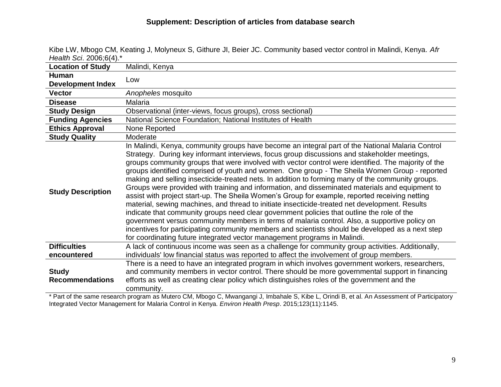| Health Scl. 2006,014).                 |                                                                                                                                                                                                                                                                                                                                                                                                                                                                                                                                                                                                                                                                                                                                                                                                                                                                                                                                                                                                                                                                                                                                                                                                      |
|----------------------------------------|------------------------------------------------------------------------------------------------------------------------------------------------------------------------------------------------------------------------------------------------------------------------------------------------------------------------------------------------------------------------------------------------------------------------------------------------------------------------------------------------------------------------------------------------------------------------------------------------------------------------------------------------------------------------------------------------------------------------------------------------------------------------------------------------------------------------------------------------------------------------------------------------------------------------------------------------------------------------------------------------------------------------------------------------------------------------------------------------------------------------------------------------------------------------------------------------------|
| <b>Location of Study</b>               | Malindi, Kenya                                                                                                                                                                                                                                                                                                                                                                                                                                                                                                                                                                                                                                                                                                                                                                                                                                                                                                                                                                                                                                                                                                                                                                                       |
| <b>Human</b>                           | Low                                                                                                                                                                                                                                                                                                                                                                                                                                                                                                                                                                                                                                                                                                                                                                                                                                                                                                                                                                                                                                                                                                                                                                                                  |
| <b>Development Index</b>               |                                                                                                                                                                                                                                                                                                                                                                                                                                                                                                                                                                                                                                                                                                                                                                                                                                                                                                                                                                                                                                                                                                                                                                                                      |
| <b>Vector</b>                          | Anopheles mosquito                                                                                                                                                                                                                                                                                                                                                                                                                                                                                                                                                                                                                                                                                                                                                                                                                                                                                                                                                                                                                                                                                                                                                                                   |
| <b>Disease</b>                         | Malaria                                                                                                                                                                                                                                                                                                                                                                                                                                                                                                                                                                                                                                                                                                                                                                                                                                                                                                                                                                                                                                                                                                                                                                                              |
| <b>Study Design</b>                    | Observational (inter-views, focus groups), cross sectional)                                                                                                                                                                                                                                                                                                                                                                                                                                                                                                                                                                                                                                                                                                                                                                                                                                                                                                                                                                                                                                                                                                                                          |
| <b>Funding Agencies</b>                | National Science Foundation; National Institutes of Health                                                                                                                                                                                                                                                                                                                                                                                                                                                                                                                                                                                                                                                                                                                                                                                                                                                                                                                                                                                                                                                                                                                                           |
| <b>Ethics Approval</b>                 | None Reported                                                                                                                                                                                                                                                                                                                                                                                                                                                                                                                                                                                                                                                                                                                                                                                                                                                                                                                                                                                                                                                                                                                                                                                        |
| <b>Study Quality</b>                   | Moderate                                                                                                                                                                                                                                                                                                                                                                                                                                                                                                                                                                                                                                                                                                                                                                                                                                                                                                                                                                                                                                                                                                                                                                                             |
| <b>Study Description</b>               | In Malindi, Kenya, community groups have become an integral part of the National Malaria Control<br>Strategy. During key informant interviews, focus group discussions and stakeholder meetings,<br>groups community groups that were involved with vector control were identified. The majority of the<br>groups identified comprised of youth and women. One group - The Sheila Women Group - reported<br>making and selling insecticide-treated nets. In addition to forming many of the community groups.<br>Groups were provided with training and information, and disseminated materials and equipment to<br>assist with project start-up. The Sheila Women's Group for example, reported receiving netting<br>material, sewing machines, and thread to initiate insecticide-treated net development. Results<br>indicate that community groups need clear government policies that outline the role of the<br>government versus community members in terms of malaria control. Also, a supportive policy on<br>incentives for participating community members and scientists should be developed as a next step<br>for coordinating future integrated vector management programs in Malindi. |
| <b>Difficulties</b>                    | A lack of continuous income was seen as a challenge for community group activities. Additionally,                                                                                                                                                                                                                                                                                                                                                                                                                                                                                                                                                                                                                                                                                                                                                                                                                                                                                                                                                                                                                                                                                                    |
| encountered                            | individuals' low financial status was reported to affect the involvement of group members.                                                                                                                                                                                                                                                                                                                                                                                                                                                                                                                                                                                                                                                                                                                                                                                                                                                                                                                                                                                                                                                                                                           |
| <b>Study</b><br><b>Recommendations</b> | There is a need to have an integrated program in which involves government workers, researchers,<br>and community members in vector control. There should be more governmental support in financing<br>efforts as well as creating clear policy which distinguishes roles of the government and the<br>community.                                                                                                                                                                                                                                                                                                                                                                                                                                                                                                                                                                                                                                                                                                                                                                                                                                                                                    |

Kibe LW, Mbogo CM, Keating J, Molyneux S, Githure JI, Beier JC. Community based vector control in Malindi, Kenya. *Afr Health Sci*. 2006;6(4).\*

\* Part of the same research program as Mutero CM, Mbogo C, Mwangangi J, Imbahale S, Kibe L, Orindi B, et al. An Assessment of Participatory Integrated Vector Management for Malaria Control in Kenya. *Environ Health Presp*. 2015;123(11):1145.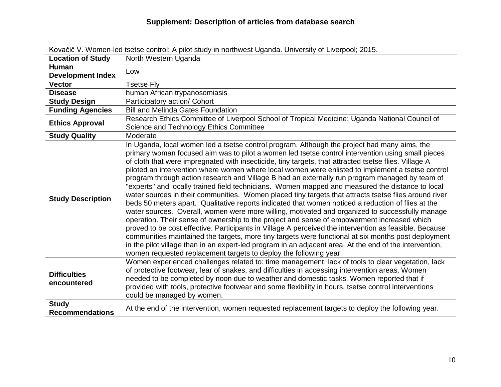| <b>Location of Study</b>                 | North Western Uganda                                                                                                                                                                                                                                                                                                                                                                                                                                                                                                                                                                                                                                                                                                                                                                                                                                                                                                                                                                                                                                                                                                                                                                                                                                                                                                                                                                                                                    |
|------------------------------------------|-----------------------------------------------------------------------------------------------------------------------------------------------------------------------------------------------------------------------------------------------------------------------------------------------------------------------------------------------------------------------------------------------------------------------------------------------------------------------------------------------------------------------------------------------------------------------------------------------------------------------------------------------------------------------------------------------------------------------------------------------------------------------------------------------------------------------------------------------------------------------------------------------------------------------------------------------------------------------------------------------------------------------------------------------------------------------------------------------------------------------------------------------------------------------------------------------------------------------------------------------------------------------------------------------------------------------------------------------------------------------------------------------------------------------------------------|
| <b>Human</b><br><b>Development Index</b> | Low                                                                                                                                                                                                                                                                                                                                                                                                                                                                                                                                                                                                                                                                                                                                                                                                                                                                                                                                                                                                                                                                                                                                                                                                                                                                                                                                                                                                                                     |
| <b>Vector</b>                            | <b>Tsetse Fly</b>                                                                                                                                                                                                                                                                                                                                                                                                                                                                                                                                                                                                                                                                                                                                                                                                                                                                                                                                                                                                                                                                                                                                                                                                                                                                                                                                                                                                                       |
| <b>Disease</b>                           | human African trypanosomiasis                                                                                                                                                                                                                                                                                                                                                                                                                                                                                                                                                                                                                                                                                                                                                                                                                                                                                                                                                                                                                                                                                                                                                                                                                                                                                                                                                                                                           |
| <b>Study Design</b>                      | Participatory action/ Cohort                                                                                                                                                                                                                                                                                                                                                                                                                                                                                                                                                                                                                                                                                                                                                                                                                                                                                                                                                                                                                                                                                                                                                                                                                                                                                                                                                                                                            |
| <b>Funding Agencies</b>                  | <b>Bill and Melinda Gates Foundation</b>                                                                                                                                                                                                                                                                                                                                                                                                                                                                                                                                                                                                                                                                                                                                                                                                                                                                                                                                                                                                                                                                                                                                                                                                                                                                                                                                                                                                |
| <b>Ethics Approval</b>                   | Research Ethics Committee of Liverpool School of Tropical Medicine; Uganda National Council of<br>Science and Technology Ethics Committee                                                                                                                                                                                                                                                                                                                                                                                                                                                                                                                                                                                                                                                                                                                                                                                                                                                                                                                                                                                                                                                                                                                                                                                                                                                                                               |
| <b>Study Quality</b>                     | Moderate                                                                                                                                                                                                                                                                                                                                                                                                                                                                                                                                                                                                                                                                                                                                                                                                                                                                                                                                                                                                                                                                                                                                                                                                                                                                                                                                                                                                                                |
| <b>Study Description</b>                 | In Uganda, local women led a tsetse control program. Although the project had many aims, the<br>primary woman focused aim was to pilot a women led tsetse control intervention using small pieces<br>of cloth that were impregnated with insecticide, tiny targets, that attracted tsetse flies. Village A<br>piloted an intervention where women where local women were enlisted to implement a tsetse control<br>program through action research and Village B had an externally run program managed by team of<br>"experts" and locally trained field technicians. Women mapped and measured the distance to local<br>water sources in their communities. Women placed tiny targets that attracts tsetse flies around river<br>beds 50 meters apart. Qualitative reports indicated that women noticed a reduction of flies at the<br>water sources. Overall, women were more willing, motivated and organized to successfully manage<br>operation. Their sense of ownership to the project and sense of empowerment increased which<br>proved to be cost effective. Participants in Village A perceived the intervention as feasible. Because<br>communities maintained the targets, more tiny targets were functional at six months post deployment<br>in the pilot village than in an expert-led program in an adjacent area. At the end of the intervention,<br>women requested replacement targets to deploy the following year. |
| <b>Difficulties</b><br>encountered       | Women experienced challenges related to: time management, lack of tools to clear vegetation, lack<br>of protective footwear, fear of snakes, and difficulties in accessing intervention areas. Women<br>needed to be completed by noon due to weather and domestic tasks. Women reported that if<br>provided with tools, protective footwear and some flexibility in hours, tsetse control interventions<br>could be managed by women.                                                                                                                                                                                                                                                                                                                                                                                                                                                                                                                                                                                                                                                                                                                                                                                                                                                                                                                                                                                                  |
| <b>Study</b><br><b>Recommendations</b>   | At the end of the intervention, women requested replacement targets to deploy the following year.                                                                                                                                                                                                                                                                                                                                                                                                                                                                                                                                                                                                                                                                                                                                                                                                                                                                                                                                                                                                                                                                                                                                                                                                                                                                                                                                       |

Kovačič V. Women-led tsetse control: A pilot study in northwest Uganda. University of Liverpool; 2015.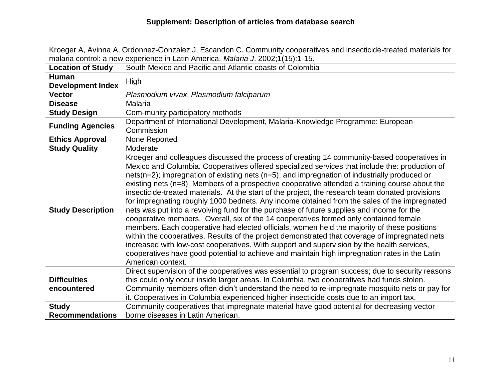|                                        | Trialaria control. a flew experience in Latin America. <i>Malaria J. 2002</i> , it to firm.                                                                                                   |
|----------------------------------------|-----------------------------------------------------------------------------------------------------------------------------------------------------------------------------------------------|
| <b>Location of Study</b>               | South Mexico and Pacific and Atlantic coasts of Colombia                                                                                                                                      |
| <b>Human</b>                           | High                                                                                                                                                                                          |
| <b>Development Index</b>               |                                                                                                                                                                                               |
| <b>Vector</b>                          | Plasmodium vivax, Plasmodium falciparum                                                                                                                                                       |
| <b>Disease</b>                         | <b>Malaria</b>                                                                                                                                                                                |
| <b>Study Design</b>                    | Com-munity participatory methods                                                                                                                                                              |
|                                        | Department of International Development, Malaria-Knowledge Programme; European                                                                                                                |
| <b>Funding Agencies</b>                | Commission                                                                                                                                                                                    |
| <b>Ethics Approval</b>                 | None Reported                                                                                                                                                                                 |
| <b>Study Quality</b>                   | Moderate                                                                                                                                                                                      |
|                                        | Kroeger and colleagues discussed the process of creating 14 community-based cooperatives in<br>Mexico and Columbia. Cooperatives offered specialized services that include the: production of |
| <b>Study Description</b>               | nets( $n=2$ ); impregnation of existing nets ( $n=5$ ); and impregnation of industrially produced or                                                                                          |
|                                        | existing nets ( $n=8$ ). Members of a prospective cooperative attended a training course about the                                                                                            |
|                                        | insecticide-treated materials. At the start of the project, the research team donated provisions                                                                                              |
|                                        | for impregnating roughly 1000 bednets. Any income obtained from the sales of the impregnated                                                                                                  |
|                                        | nets was put into a revolving fund for the purchase of future supplies and income for the                                                                                                     |
|                                        | cooperative members. Overall, six of the 14 cooperatives formed only contained female                                                                                                         |
|                                        | members. Each cooperative had elected officials, women held the majority of these positions                                                                                                   |
|                                        | within the cooperatives. Results of the project demonstrated that coverage of impregnated nets                                                                                                |
|                                        | increased with low-cost cooperatives. With support and supervision by the health services,                                                                                                    |
|                                        | cooperatives have good potential to achieve and maintain high impregnation rates in the Latin                                                                                                 |
|                                        | American context.                                                                                                                                                                             |
|                                        | Direct supervision of the cooperatives was essential to program success; due to security reasons                                                                                              |
| <b>Difficulties</b>                    | this could only occur inside larger areas. In Columbia, two cooperatives had funds stolen.                                                                                                    |
| encountered                            | Community members often didn't understand the need to re-impregnate mosquito nets or pay for                                                                                                  |
|                                        |                                                                                                                                                                                               |
|                                        | it. Cooperatives in Columbia experienced higher insecticide costs due to an import tax.<br>Community cooperatives that impregnate material have good potential for decreasing vector          |
| <b>Study</b><br><b>Recommendations</b> | borne diseases in Latin American.                                                                                                                                                             |
|                                        |                                                                                                                                                                                               |

Kroeger A, Avinna A, Ordonnez-Gonzalez J, Escandon C. Community cooperatives and insecticide-treated materials for malaria control: a new experience in Latin America. *Malaria J*. 2002;1(15):1-15.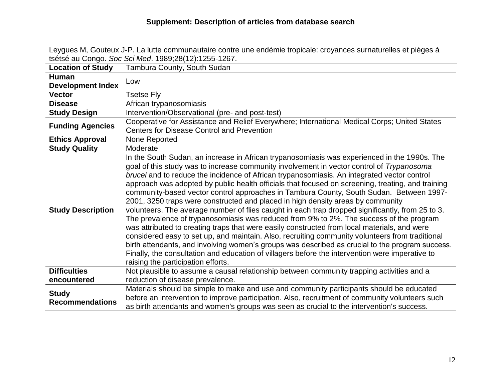Leygues M, Gouteux J-P. La lutte communautaire contre une endémie tropicale: croyances surnaturelles et pièges à tsétsé au Congo. *Soc Sci Med*. 1989;28(12):1255-1267.

| <b>Location of Study</b> | Tambura County, South Sudan                                                                                                                                                                                                                                                                                                                                                                                                                                                                                                                                                                                                                                                                                                                                                                                                                                                                                                                                                                                                                                                                                                                                                                                               |
|--------------------------|---------------------------------------------------------------------------------------------------------------------------------------------------------------------------------------------------------------------------------------------------------------------------------------------------------------------------------------------------------------------------------------------------------------------------------------------------------------------------------------------------------------------------------------------------------------------------------------------------------------------------------------------------------------------------------------------------------------------------------------------------------------------------------------------------------------------------------------------------------------------------------------------------------------------------------------------------------------------------------------------------------------------------------------------------------------------------------------------------------------------------------------------------------------------------------------------------------------------------|
| <b>Human</b>             | Low                                                                                                                                                                                                                                                                                                                                                                                                                                                                                                                                                                                                                                                                                                                                                                                                                                                                                                                                                                                                                                                                                                                                                                                                                       |
| <b>Development Index</b> |                                                                                                                                                                                                                                                                                                                                                                                                                                                                                                                                                                                                                                                                                                                                                                                                                                                                                                                                                                                                                                                                                                                                                                                                                           |
| <b>Vector</b>            | <b>Tsetse Fly</b>                                                                                                                                                                                                                                                                                                                                                                                                                                                                                                                                                                                                                                                                                                                                                                                                                                                                                                                                                                                                                                                                                                                                                                                                         |
| <b>Disease</b>           | African trypanosomiasis                                                                                                                                                                                                                                                                                                                                                                                                                                                                                                                                                                                                                                                                                                                                                                                                                                                                                                                                                                                                                                                                                                                                                                                                   |
| <b>Study Design</b>      | Intervention/Observational (pre- and post-test)                                                                                                                                                                                                                                                                                                                                                                                                                                                                                                                                                                                                                                                                                                                                                                                                                                                                                                                                                                                                                                                                                                                                                                           |
| <b>Funding Agencies</b>  | Cooperative for Assistance and Relief Everywhere; International Medical Corps; United States                                                                                                                                                                                                                                                                                                                                                                                                                                                                                                                                                                                                                                                                                                                                                                                                                                                                                                                                                                                                                                                                                                                              |
|                          | <b>Centers for Disease Control and Prevention</b>                                                                                                                                                                                                                                                                                                                                                                                                                                                                                                                                                                                                                                                                                                                                                                                                                                                                                                                                                                                                                                                                                                                                                                         |
| <b>Ethics Approval</b>   | None Reported                                                                                                                                                                                                                                                                                                                                                                                                                                                                                                                                                                                                                                                                                                                                                                                                                                                                                                                                                                                                                                                                                                                                                                                                             |
| <b>Study Quality</b>     | Moderate                                                                                                                                                                                                                                                                                                                                                                                                                                                                                                                                                                                                                                                                                                                                                                                                                                                                                                                                                                                                                                                                                                                                                                                                                  |
| <b>Study Description</b> | In the South Sudan, an increase in African trypanosomiasis was experienced in the 1990s. The<br>goal of this study was to increase community involvement in vector control of Trypanosoma<br>brucei and to reduce the incidence of African trypanosomiasis. An integrated vector control<br>approach was adopted by public health officials that focused on screening, treating, and training<br>community-based vector control approaches in Tambura County, South Sudan. Between 1997-<br>2001, 3250 traps were constructed and placed in high density areas by community<br>volunteers. The average number of flies caught in each trap dropped significantly, from 25 to 3.<br>The prevalence of trypanosomiasis was reduced from 9% to 2%. The success of the program<br>was attributed to creating traps that were easily constructed from local materials, and were<br>considered easy to set up, and maintain. Also, recruiting community volunteers from traditional<br>birth attendants, and involving women's groups was described as crucial to the program success.<br>Finally, the consultation and education of villagers before the intervention were imperative to<br>raising the participation efforts. |
| <b>Difficulties</b>      | Not plausible to assume a causal relationship between community trapping activities and a                                                                                                                                                                                                                                                                                                                                                                                                                                                                                                                                                                                                                                                                                                                                                                                                                                                                                                                                                                                                                                                                                                                                 |
| encountered              | reduction of disease prevalence.                                                                                                                                                                                                                                                                                                                                                                                                                                                                                                                                                                                                                                                                                                                                                                                                                                                                                                                                                                                                                                                                                                                                                                                          |
| <b>Study</b>             | Materials should be simple to make and use and community participants should be educated                                                                                                                                                                                                                                                                                                                                                                                                                                                                                                                                                                                                                                                                                                                                                                                                                                                                                                                                                                                                                                                                                                                                  |
| <b>Recommendations</b>   | before an intervention to improve participation. Also, recruitment of community volunteers such                                                                                                                                                                                                                                                                                                                                                                                                                                                                                                                                                                                                                                                                                                                                                                                                                                                                                                                                                                                                                                                                                                                           |
|                          | as birth attendants and women's groups was seen as crucial to the intervention's success.                                                                                                                                                                                                                                                                                                                                                                                                                                                                                                                                                                                                                                                                                                                                                                                                                                                                                                                                                                                                                                                                                                                                 |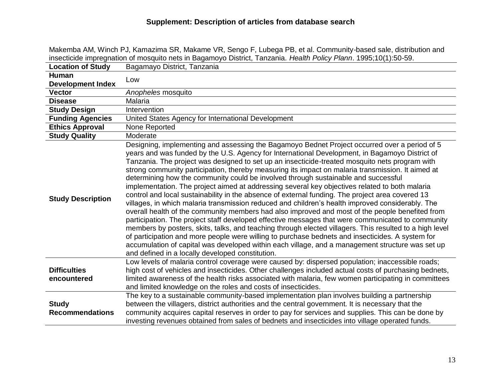| insecticide impregnation of mosquito nets in Bagamoyo District, Tanzania. Health Policy Plann. 1995;10(1):50-59. |                                                                                                                                                                                                                                                                                                                                                                                                                                                                                                                                                                                                                                                                                                                                                                                                                                                                                                                                                                                                                                                                                                                                                                                                                                                                                                                                                                                       |
|------------------------------------------------------------------------------------------------------------------|---------------------------------------------------------------------------------------------------------------------------------------------------------------------------------------------------------------------------------------------------------------------------------------------------------------------------------------------------------------------------------------------------------------------------------------------------------------------------------------------------------------------------------------------------------------------------------------------------------------------------------------------------------------------------------------------------------------------------------------------------------------------------------------------------------------------------------------------------------------------------------------------------------------------------------------------------------------------------------------------------------------------------------------------------------------------------------------------------------------------------------------------------------------------------------------------------------------------------------------------------------------------------------------------------------------------------------------------------------------------------------------|
| <b>Location of Study</b>                                                                                         | Bagamayo District, Tanzania                                                                                                                                                                                                                                                                                                                                                                                                                                                                                                                                                                                                                                                                                                                                                                                                                                                                                                                                                                                                                                                                                                                                                                                                                                                                                                                                                           |
| Human<br><b>Development Index</b>                                                                                | Low                                                                                                                                                                                                                                                                                                                                                                                                                                                                                                                                                                                                                                                                                                                                                                                                                                                                                                                                                                                                                                                                                                                                                                                                                                                                                                                                                                                   |
| <b>Vector</b>                                                                                                    | Anopheles mosquito                                                                                                                                                                                                                                                                                                                                                                                                                                                                                                                                                                                                                                                                                                                                                                                                                                                                                                                                                                                                                                                                                                                                                                                                                                                                                                                                                                    |
| <b>Disease</b>                                                                                                   | Malaria                                                                                                                                                                                                                                                                                                                                                                                                                                                                                                                                                                                                                                                                                                                                                                                                                                                                                                                                                                                                                                                                                                                                                                                                                                                                                                                                                                               |
| <b>Study Design</b>                                                                                              | Intervention                                                                                                                                                                                                                                                                                                                                                                                                                                                                                                                                                                                                                                                                                                                                                                                                                                                                                                                                                                                                                                                                                                                                                                                                                                                                                                                                                                          |
| <b>Funding Agencies</b>                                                                                          | United States Agency for International Development                                                                                                                                                                                                                                                                                                                                                                                                                                                                                                                                                                                                                                                                                                                                                                                                                                                                                                                                                                                                                                                                                                                                                                                                                                                                                                                                    |
| <b>Ethics Approval</b>                                                                                           | None Reported                                                                                                                                                                                                                                                                                                                                                                                                                                                                                                                                                                                                                                                                                                                                                                                                                                                                                                                                                                                                                                                                                                                                                                                                                                                                                                                                                                         |
| <b>Study Quality</b>                                                                                             | Moderate                                                                                                                                                                                                                                                                                                                                                                                                                                                                                                                                                                                                                                                                                                                                                                                                                                                                                                                                                                                                                                                                                                                                                                                                                                                                                                                                                                              |
| <b>Study Description</b>                                                                                         | Designing, implementing and assessing the Bagamoyo Bednet Project occurred over a period of 5<br>years and was funded by the U.S. Agency for International Development, in Bagamoyo District of<br>Tanzania. The project was designed to set up an insecticide-treated mosquito nets program with<br>strong community participation, thereby measuring its impact on malaria transmission. It aimed at<br>determining how the community could be involved through sustainable and successful<br>implementation. The project aimed at addressing several key objectives related to both malaria<br>control and local sustainability in the absence of external funding. The project area covered 13<br>villages, in which malaria transmission reduced and children's health improved considerably. The<br>overall health of the community members had also improved and most of the people benefited from<br>participation. The project staff developed effective messages that were communicated to community<br>members by posters, skits, talks, and teaching through elected villagers. This resulted to a high level<br>of participation and more people were willing to purchase bednets and insecticides. A system for<br>accumulation of capital was developed within each village, and a management structure was set up<br>and defined in a locally developed constitution. |
| <b>Difficulties</b><br>encountered                                                                               | Low levels of malaria control coverage were caused by: dispersed population; inaccessible roads;<br>high cost of vehicles and insecticides. Other challenges included actual costs of purchasing bednets,<br>limited awareness of the health risks associated with malaria, few women participating in committees<br>and limited knowledge on the roles and costs of insecticides.                                                                                                                                                                                                                                                                                                                                                                                                                                                                                                                                                                                                                                                                                                                                                                                                                                                                                                                                                                                                    |
| <b>Study</b><br><b>Recommendations</b>                                                                           | The key to a sustainable community-based implementation plan involves building a partnership<br>between the villagers, district authorities and the central government. It is necessary that the<br>community acquires capital reserves in order to pay for services and supplies. This can be done by<br>investing revenues obtained from sales of bednets and insecticides into village operated funds.                                                                                                                                                                                                                                                                                                                                                                                                                                                                                                                                                                                                                                                                                                                                                                                                                                                                                                                                                                             |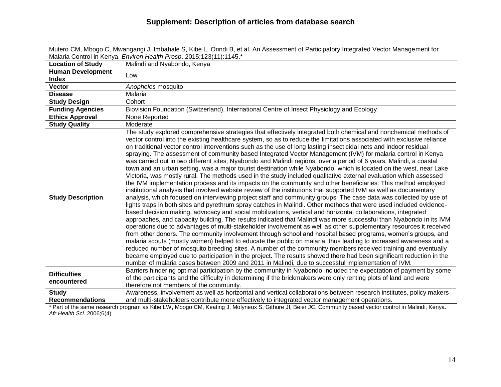|                                          | Malaria Control in Kenya. <i>Environ Health Presp.</i> 2015;123(11):1145.                                                                                                                                                                                                                                                                                                                                                                                                                                                                                                                                                                                                                                                                                                                                                                                                                                                                                                                                                                                                                                                                                                                                                                                                                                                                                                                                                                                                                                                                                                                                                                                                                                                                                                                                                                                                                                                                                                                                                                                                                                                                                                                                                                                                      |
|------------------------------------------|--------------------------------------------------------------------------------------------------------------------------------------------------------------------------------------------------------------------------------------------------------------------------------------------------------------------------------------------------------------------------------------------------------------------------------------------------------------------------------------------------------------------------------------------------------------------------------------------------------------------------------------------------------------------------------------------------------------------------------------------------------------------------------------------------------------------------------------------------------------------------------------------------------------------------------------------------------------------------------------------------------------------------------------------------------------------------------------------------------------------------------------------------------------------------------------------------------------------------------------------------------------------------------------------------------------------------------------------------------------------------------------------------------------------------------------------------------------------------------------------------------------------------------------------------------------------------------------------------------------------------------------------------------------------------------------------------------------------------------------------------------------------------------------------------------------------------------------------------------------------------------------------------------------------------------------------------------------------------------------------------------------------------------------------------------------------------------------------------------------------------------------------------------------------------------------------------------------------------------------------------------------------------------|
| <b>Location of Study</b>                 | Malindi and Nyabondo, Kenya                                                                                                                                                                                                                                                                                                                                                                                                                                                                                                                                                                                                                                                                                                                                                                                                                                                                                                                                                                                                                                                                                                                                                                                                                                                                                                                                                                                                                                                                                                                                                                                                                                                                                                                                                                                                                                                                                                                                                                                                                                                                                                                                                                                                                                                    |
| <b>Human Development</b><br><b>Index</b> | Low                                                                                                                                                                                                                                                                                                                                                                                                                                                                                                                                                                                                                                                                                                                                                                                                                                                                                                                                                                                                                                                                                                                                                                                                                                                                                                                                                                                                                                                                                                                                                                                                                                                                                                                                                                                                                                                                                                                                                                                                                                                                                                                                                                                                                                                                            |
| <b>Vector</b>                            | Anopheles mosquito                                                                                                                                                                                                                                                                                                                                                                                                                                                                                                                                                                                                                                                                                                                                                                                                                                                                                                                                                                                                                                                                                                                                                                                                                                                                                                                                                                                                                                                                                                                                                                                                                                                                                                                                                                                                                                                                                                                                                                                                                                                                                                                                                                                                                                                             |
| <b>Disease</b>                           | Malaria                                                                                                                                                                                                                                                                                                                                                                                                                                                                                                                                                                                                                                                                                                                                                                                                                                                                                                                                                                                                                                                                                                                                                                                                                                                                                                                                                                                                                                                                                                                                                                                                                                                                                                                                                                                                                                                                                                                                                                                                                                                                                                                                                                                                                                                                        |
| <b>Study Design</b>                      | Cohort                                                                                                                                                                                                                                                                                                                                                                                                                                                                                                                                                                                                                                                                                                                                                                                                                                                                                                                                                                                                                                                                                                                                                                                                                                                                                                                                                                                                                                                                                                                                                                                                                                                                                                                                                                                                                                                                                                                                                                                                                                                                                                                                                                                                                                                                         |
| <b>Funding Agencies</b>                  | Biovision Foundation (Switzerland), International Centre of Insect Physiology and Ecology                                                                                                                                                                                                                                                                                                                                                                                                                                                                                                                                                                                                                                                                                                                                                                                                                                                                                                                                                                                                                                                                                                                                                                                                                                                                                                                                                                                                                                                                                                                                                                                                                                                                                                                                                                                                                                                                                                                                                                                                                                                                                                                                                                                      |
| <b>Ethics Approval</b>                   | None Reported                                                                                                                                                                                                                                                                                                                                                                                                                                                                                                                                                                                                                                                                                                                                                                                                                                                                                                                                                                                                                                                                                                                                                                                                                                                                                                                                                                                                                                                                                                                                                                                                                                                                                                                                                                                                                                                                                                                                                                                                                                                                                                                                                                                                                                                                  |
| <b>Study Quality</b>                     | Moderate                                                                                                                                                                                                                                                                                                                                                                                                                                                                                                                                                                                                                                                                                                                                                                                                                                                                                                                                                                                                                                                                                                                                                                                                                                                                                                                                                                                                                                                                                                                                                                                                                                                                                                                                                                                                                                                                                                                                                                                                                                                                                                                                                                                                                                                                       |
| <b>Study Description</b>                 | The study explored comprehensive strategies that effectively integrated both chemical and nonchemical methods of<br>vector control into the existing healthcare system, so as to reduce the limitations associated with exclusive reliance<br>on traditional vector control interventions such as the use of long lasting insecticidal nets and indoor residual<br>spraying. The assessment of community based Integrated Vector Management (IVM) for malaria control in Kenya<br>was carried out in two different sites; Nyabondo and Malindi regions, over a period of 6 years. Malindi, a coastal<br>town and an urban setting, was a major tourist destination while Nyabondo, which is located on the west, near Lake<br>Victoria, was mostly rural. The methods used in the study included qualitative external evaluation which assessed<br>the IVM implementation process and its impacts on the community and other beneficiaries. This method employed<br>institutional analysis that involved website review of the institutions that supported IVM as well as documentary<br>analysis, which focused on interviewing project staff and community groups. The case data was collected by use of<br>lights traps in both sites and pyrethrum spray catches in Malindi. Other methods that were used included evidence-<br>based decision making, advocacy and social mobilizations, vertical and horizontal collaborations, integrated<br>approaches, and capacity building. The results indicated that Malindi was more successful than Nyabondo in its IVM<br>operations due to advantages of multi-stakeholder involvement as well as other supplementary resources it received<br>from other donors. The community involvement through school and hospital based programs, women's groups, and<br>malaria scouts (mostly women) helped to educate the public on malaria, thus leading to increased awareness and a<br>reduced number of mosquito breeding sites. A number of the community members received training and eventually<br>became employed due to participation in the project. The results showed there had been significant reduction in the<br>number of malaria cases between 2009 and 2011 in Malindi, due to successful implementation of IVM. |
| <b>Difficulties</b><br>encountered       | Barriers hindering optimal participation by the community in Nyabondo included the expectation of payment by some<br>of the participants and the difficulty in determining if the brickmakers were only renting plots of land and were<br>therefore not members of the community.                                                                                                                                                                                                                                                                                                                                                                                                                                                                                                                                                                                                                                                                                                                                                                                                                                                                                                                                                                                                                                                                                                                                                                                                                                                                                                                                                                                                                                                                                                                                                                                                                                                                                                                                                                                                                                                                                                                                                                                              |
| <b>Study</b><br><b>Recommendations</b>   | Awareness, involvement as well as horizontal and vertical collaborations between research institutes, policy makers<br>and multi-stakeholders contribute more effectively to integrated vector management operations.                                                                                                                                                                                                                                                                                                                                                                                                                                                                                                                                                                                                                                                                                                                                                                                                                                                                                                                                                                                                                                                                                                                                                                                                                                                                                                                                                                                                                                                                                                                                                                                                                                                                                                                                                                                                                                                                                                                                                                                                                                                          |

Mutero CM, Mbogo C, Mwangangi J, Imbahale S, Kibe L, Orindi B, et al. An Assessment of Participatory Integrated Vector Management for Malaria Control in Kenya. *Environ Health Presp*. 2015;123(11):1145.\*

\* Part of the same research program as Kibe LW, Mbogo CM, Keating J, Molyneux S, Githure JI, Beier JC. Community based vector control in Malindi, Kenya. *Afr Health Sci*. 2006;6(4).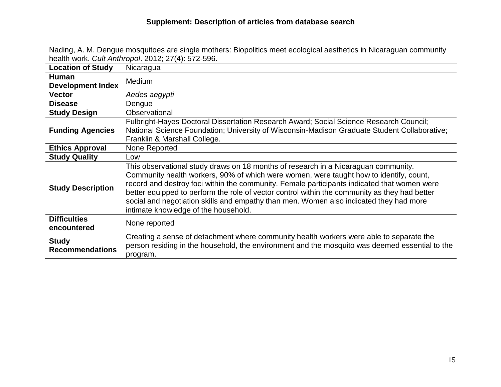| Nading, A. M. Dengue mosquitoes are single mothers: Biopolitics meet ecological aesthetics in Nicaraguan community |
|--------------------------------------------------------------------------------------------------------------------|
| health work. Cult Anthropol. 2012; 27(4): 572-596.                                                                 |

| <b>Location of Study</b>               | Nicaragua                                                                                                                                                                                                                                                                                                                                                                                                                                                                                                      |
|----------------------------------------|----------------------------------------------------------------------------------------------------------------------------------------------------------------------------------------------------------------------------------------------------------------------------------------------------------------------------------------------------------------------------------------------------------------------------------------------------------------------------------------------------------------|
| <b>Human</b>                           | <b>Medium</b>                                                                                                                                                                                                                                                                                                                                                                                                                                                                                                  |
| <b>Development Index</b>               |                                                                                                                                                                                                                                                                                                                                                                                                                                                                                                                |
| <b>Vector</b>                          | Aedes aegypti                                                                                                                                                                                                                                                                                                                                                                                                                                                                                                  |
| <b>Disease</b>                         | Dengue                                                                                                                                                                                                                                                                                                                                                                                                                                                                                                         |
| <b>Study Design</b>                    | Observational                                                                                                                                                                                                                                                                                                                                                                                                                                                                                                  |
| <b>Funding Agencies</b>                | Fulbright-Hayes Doctoral Dissertation Research Award; Social Science Research Council;<br>National Science Foundation; University of Wisconsin-Madison Graduate Student Collaborative;<br>Franklin & Marshall College.                                                                                                                                                                                                                                                                                         |
| <b>Ethics Approval</b>                 | None Reported                                                                                                                                                                                                                                                                                                                                                                                                                                                                                                  |
| <b>Study Quality</b>                   | Low                                                                                                                                                                                                                                                                                                                                                                                                                                                                                                            |
| <b>Study Description</b>               | This observational study draws on 18 months of research in a Nicaraguan community.<br>Community health workers, 90% of which were women, were taught how to identify, count,<br>record and destroy foci within the community. Female participants indicated that women were<br>better equipped to perform the role of vector control within the community as they had better<br>social and negotiation skills and empathy than men. Women also indicated they had more<br>intimate knowledge of the household. |
| <b>Difficulties</b><br>encountered     | None reported                                                                                                                                                                                                                                                                                                                                                                                                                                                                                                  |
| <b>Study</b><br><b>Recommendations</b> | Creating a sense of detachment where community health workers were able to separate the<br>person residing in the household, the environment and the mosquito was deemed essential to the<br>program.                                                                                                                                                                                                                                                                                                          |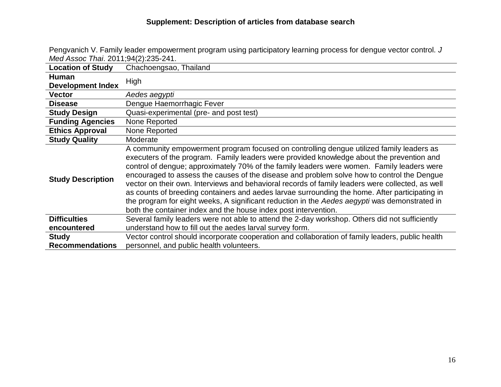| Med Assoc Thai. 2011;94(2):235-241. | and the annual teacher only encurrent program acting participately teaming proceed for actigate                                                                                                                                                                                                                                                                                                                                                                                                                                                                                                                                                                                                                                                             |
|-------------------------------------|-------------------------------------------------------------------------------------------------------------------------------------------------------------------------------------------------------------------------------------------------------------------------------------------------------------------------------------------------------------------------------------------------------------------------------------------------------------------------------------------------------------------------------------------------------------------------------------------------------------------------------------------------------------------------------------------------------------------------------------------------------------|
| <b>Location of Study</b>            | Chachoengsao, Thailand                                                                                                                                                                                                                                                                                                                                                                                                                                                                                                                                                                                                                                                                                                                                      |
| Human                               | High                                                                                                                                                                                                                                                                                                                                                                                                                                                                                                                                                                                                                                                                                                                                                        |
| <b>Development Index</b>            |                                                                                                                                                                                                                                                                                                                                                                                                                                                                                                                                                                                                                                                                                                                                                             |
| <b>Vector</b>                       | Aedes aegypti                                                                                                                                                                                                                                                                                                                                                                                                                                                                                                                                                                                                                                                                                                                                               |
| <b>Disease</b>                      | Dengue Haemorrhagic Fever                                                                                                                                                                                                                                                                                                                                                                                                                                                                                                                                                                                                                                                                                                                                   |
| <b>Study Design</b>                 | Quasi-experimental (pre- and post test)                                                                                                                                                                                                                                                                                                                                                                                                                                                                                                                                                                                                                                                                                                                     |
| <b>Funding Agencies</b>             | None Reported                                                                                                                                                                                                                                                                                                                                                                                                                                                                                                                                                                                                                                                                                                                                               |
| <b>Ethics Approval</b>              | None Reported                                                                                                                                                                                                                                                                                                                                                                                                                                                                                                                                                                                                                                                                                                                                               |
| <b>Study Quality</b>                | Moderate                                                                                                                                                                                                                                                                                                                                                                                                                                                                                                                                                                                                                                                                                                                                                    |
| <b>Study Description</b>            | A community empowerment program focused on controlling dengue utilized family leaders as<br>executers of the program. Family leaders were provided knowledge about the prevention and<br>control of dengue; approximately 70% of the family leaders were women. Family leaders were<br>encouraged to assess the causes of the disease and problem solve how to control the Dengue<br>vector on their own. Interviews and behavioral records of family leaders were collected, as well<br>as counts of breeding containers and aedes larvae surrounding the home. After participating in<br>the program for eight weeks, A significant reduction in the Aedes aegypti was demonstrated in<br>both the container index and the house index post intervention. |
| <b>Difficulties</b>                 | Several family leaders were not able to attend the 2-day workshop. Others did not sufficiently                                                                                                                                                                                                                                                                                                                                                                                                                                                                                                                                                                                                                                                              |
| encountered                         | understand how to fill out the aedes larval survey form.                                                                                                                                                                                                                                                                                                                                                                                                                                                                                                                                                                                                                                                                                                    |
| <b>Study</b>                        | Vector control should incorporate cooperation and collaboration of family leaders, public health                                                                                                                                                                                                                                                                                                                                                                                                                                                                                                                                                                                                                                                            |
| <b>Recommendations</b>              | personnel, and public health volunteers.                                                                                                                                                                                                                                                                                                                                                                                                                                                                                                                                                                                                                                                                                                                    |

Pengvanich V. Family leader empowerment program using participatory learning process for dengue vector control. *J*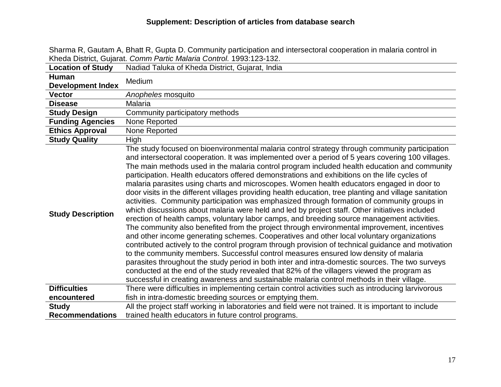Sharma R, Gautam A, Bhatt R, Gupta D. Community participation and intersectoral cooperation in malaria control in Kheda District, Gujarat. *Comm Partic Malaria Control.* 1993:123-132.

| <b>Location of Study</b>                        | Nadiad Taluka of Kheda District, Gujarat, India                                                                                                                                                                                                                                                                                                                                                                                                                                                                                                                                                                                                                                                                                                                                                                                                                                                                                                                                                                                                                                                                                                                                                                                                                                                                                                                                                                                                                                                                                                                                                                                                                                                           |
|-------------------------------------------------|-----------------------------------------------------------------------------------------------------------------------------------------------------------------------------------------------------------------------------------------------------------------------------------------------------------------------------------------------------------------------------------------------------------------------------------------------------------------------------------------------------------------------------------------------------------------------------------------------------------------------------------------------------------------------------------------------------------------------------------------------------------------------------------------------------------------------------------------------------------------------------------------------------------------------------------------------------------------------------------------------------------------------------------------------------------------------------------------------------------------------------------------------------------------------------------------------------------------------------------------------------------------------------------------------------------------------------------------------------------------------------------------------------------------------------------------------------------------------------------------------------------------------------------------------------------------------------------------------------------------------------------------------------------------------------------------------------------|
| <b>Human</b>                                    | <b>Medium</b>                                                                                                                                                                                                                                                                                                                                                                                                                                                                                                                                                                                                                                                                                                                                                                                                                                                                                                                                                                                                                                                                                                                                                                                                                                                                                                                                                                                                                                                                                                                                                                                                                                                                                             |
| <b>Development Index</b>                        |                                                                                                                                                                                                                                                                                                                                                                                                                                                                                                                                                                                                                                                                                                                                                                                                                                                                                                                                                                                                                                                                                                                                                                                                                                                                                                                                                                                                                                                                                                                                                                                                                                                                                                           |
| <b>Vector</b>                                   | Anopheles mosquito                                                                                                                                                                                                                                                                                                                                                                                                                                                                                                                                                                                                                                                                                                                                                                                                                                                                                                                                                                                                                                                                                                                                                                                                                                                                                                                                                                                                                                                                                                                                                                                                                                                                                        |
| <b>Disease</b>                                  | Malaria                                                                                                                                                                                                                                                                                                                                                                                                                                                                                                                                                                                                                                                                                                                                                                                                                                                                                                                                                                                                                                                                                                                                                                                                                                                                                                                                                                                                                                                                                                                                                                                                                                                                                                   |
| <b>Study Design</b>                             | Community participatory methods                                                                                                                                                                                                                                                                                                                                                                                                                                                                                                                                                                                                                                                                                                                                                                                                                                                                                                                                                                                                                                                                                                                                                                                                                                                                                                                                                                                                                                                                                                                                                                                                                                                                           |
| <b>Funding Agencies</b>                         | None Reported                                                                                                                                                                                                                                                                                                                                                                                                                                                                                                                                                                                                                                                                                                                                                                                                                                                                                                                                                                                                                                                                                                                                                                                                                                                                                                                                                                                                                                                                                                                                                                                                                                                                                             |
| <b>Ethics Approval</b>                          | None Reported                                                                                                                                                                                                                                                                                                                                                                                                                                                                                                                                                                                                                                                                                                                                                                                                                                                                                                                                                                                                                                                                                                                                                                                                                                                                                                                                                                                                                                                                                                                                                                                                                                                                                             |
| <b>Study Quality</b>                            | <b>High</b>                                                                                                                                                                                                                                                                                                                                                                                                                                                                                                                                                                                                                                                                                                                                                                                                                                                                                                                                                                                                                                                                                                                                                                                                                                                                                                                                                                                                                                                                                                                                                                                                                                                                                               |
| <b>Study Description</b><br><b>Difficulties</b> | The study focused on bioenvironmental malaria control strategy through community participation<br>and intersectoral cooperation. It was implemented over a period of 5 years covering 100 villages.<br>The main methods used in the malaria control program included health education and community<br>participation. Health educators offered demonstrations and exhibitions on the life cycles of<br>malaria parasites using charts and microscopes. Women health educators engaged in door to<br>door visits in the different villages providing health education, tree planting and village sanitation<br>activities. Community participation was emphasized through formation of community groups in<br>which discussions about malaria were held and led by project staff. Other initiatives included<br>erection of health camps, voluntary labor camps, and breeding source management activities.<br>The community also benefited from the project through environmental improvement, incentives<br>and other income generating schemes. Cooperatives and other local voluntary organizations<br>contributed actively to the control program through provision of technical guidance and motivation<br>to the community members. Successful control measures ensured low density of malaria<br>parasites throughout the study period in both inter and intra-domestic sources. The two surveys<br>conducted at the end of the study revealed that 82% of the villagers viewed the program as<br>successful in creating awareness and sustainable malaria control methods in their village.<br>There were difficulties in implementing certain control activities such as introducing larvivorous |
|                                                 |                                                                                                                                                                                                                                                                                                                                                                                                                                                                                                                                                                                                                                                                                                                                                                                                                                                                                                                                                                                                                                                                                                                                                                                                                                                                                                                                                                                                                                                                                                                                                                                                                                                                                                           |
| encountered                                     | fish in intra-domestic breeding sources or emptying them.                                                                                                                                                                                                                                                                                                                                                                                                                                                                                                                                                                                                                                                                                                                                                                                                                                                                                                                                                                                                                                                                                                                                                                                                                                                                                                                                                                                                                                                                                                                                                                                                                                                 |
| <b>Study</b><br><b>Recommendations</b>          | All the project staff working in laboratories and field were not trained. It is important to include<br>trained health educators in future control programs.                                                                                                                                                                                                                                                                                                                                                                                                                                                                                                                                                                                                                                                                                                                                                                                                                                                                                                                                                                                                                                                                                                                                                                                                                                                                                                                                                                                                                                                                                                                                              |
|                                                 |                                                                                                                                                                                                                                                                                                                                                                                                                                                                                                                                                                                                                                                                                                                                                                                                                                                                                                                                                                                                                                                                                                                                                                                                                                                                                                                                                                                                                                                                                                                                                                                                                                                                                                           |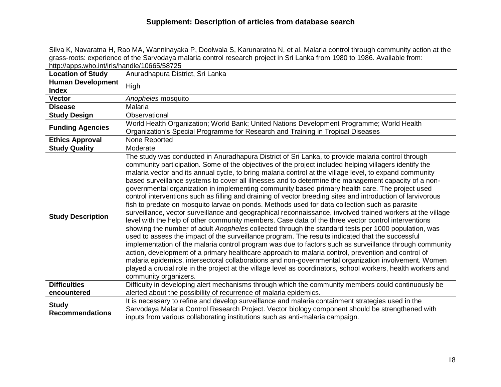Silva K, Navaratna H, Rao MA, Wanninayaka P, Doolwala S, Karunaratna N, et al. Malaria control through community action at the grass-roots: experience of the Sarvodaya malaria control research project in Sri Lanka from 1980 to 1986. Available from: http://apps.who.int/iris/handle/10665/58725

| <b>Location of Study</b>               | Anuradhapura District, Sri Lanka                                                                                                                                                                                                                                                                                                                                                                                                                                                                                                                                                                                                                                                                                                                                                                                                                                                                                                                                                                                                                                                                                                                                                                                                                                                                                                                                                                                                                                                                                                                                                                                                                      |
|----------------------------------------|-------------------------------------------------------------------------------------------------------------------------------------------------------------------------------------------------------------------------------------------------------------------------------------------------------------------------------------------------------------------------------------------------------------------------------------------------------------------------------------------------------------------------------------------------------------------------------------------------------------------------------------------------------------------------------------------------------------------------------------------------------------------------------------------------------------------------------------------------------------------------------------------------------------------------------------------------------------------------------------------------------------------------------------------------------------------------------------------------------------------------------------------------------------------------------------------------------------------------------------------------------------------------------------------------------------------------------------------------------------------------------------------------------------------------------------------------------------------------------------------------------------------------------------------------------------------------------------------------------------------------------------------------------|
| <b>Human Development</b>               | High                                                                                                                                                                                                                                                                                                                                                                                                                                                                                                                                                                                                                                                                                                                                                                                                                                                                                                                                                                                                                                                                                                                                                                                                                                                                                                                                                                                                                                                                                                                                                                                                                                                  |
| <b>Index</b>                           |                                                                                                                                                                                                                                                                                                                                                                                                                                                                                                                                                                                                                                                                                                                                                                                                                                                                                                                                                                                                                                                                                                                                                                                                                                                                                                                                                                                                                                                                                                                                                                                                                                                       |
| <b>Vector</b>                          | Anopheles mosquito                                                                                                                                                                                                                                                                                                                                                                                                                                                                                                                                                                                                                                                                                                                                                                                                                                                                                                                                                                                                                                                                                                                                                                                                                                                                                                                                                                                                                                                                                                                                                                                                                                    |
| <b>Disease</b>                         | <b>Malaria</b>                                                                                                                                                                                                                                                                                                                                                                                                                                                                                                                                                                                                                                                                                                                                                                                                                                                                                                                                                                                                                                                                                                                                                                                                                                                                                                                                                                                                                                                                                                                                                                                                                                        |
| <b>Study Design</b>                    | Observational                                                                                                                                                                                                                                                                                                                                                                                                                                                                                                                                                                                                                                                                                                                                                                                                                                                                                                                                                                                                                                                                                                                                                                                                                                                                                                                                                                                                                                                                                                                                                                                                                                         |
|                                        | World Health Organization; World Bank; United Nations Development Programme; World Health                                                                                                                                                                                                                                                                                                                                                                                                                                                                                                                                                                                                                                                                                                                                                                                                                                                                                                                                                                                                                                                                                                                                                                                                                                                                                                                                                                                                                                                                                                                                                             |
| <b>Funding Agencies</b>                | Organization's Special Programme for Research and Training in Tropical Diseases                                                                                                                                                                                                                                                                                                                                                                                                                                                                                                                                                                                                                                                                                                                                                                                                                                                                                                                                                                                                                                                                                                                                                                                                                                                                                                                                                                                                                                                                                                                                                                       |
| <b>Ethics Approval</b>                 | None Reported                                                                                                                                                                                                                                                                                                                                                                                                                                                                                                                                                                                                                                                                                                                                                                                                                                                                                                                                                                                                                                                                                                                                                                                                                                                                                                                                                                                                                                                                                                                                                                                                                                         |
| <b>Study Quality</b>                   | Moderate                                                                                                                                                                                                                                                                                                                                                                                                                                                                                                                                                                                                                                                                                                                                                                                                                                                                                                                                                                                                                                                                                                                                                                                                                                                                                                                                                                                                                                                                                                                                                                                                                                              |
| <b>Study Description</b>               | The study was conducted in Anuradhapura District of Sri Lanka, to provide malaria control through<br>community participation. Some of the objectives of the project included helping villagers identify the<br>malaria vector and its annual cycle, to bring malaria control at the village level, to expand community<br>based surveillance systems to cover all illnesses and to determine the management capacity of a non-<br>governmental organization in implementing community based primary health care. The project used<br>control interventions such as filling and draining of vector breeding sites and introduction of larvivorous<br>fish to predate on mosquito larvae on ponds. Methods used for data collection such as parasite<br>surveillance, vector surveillance and geographical reconnaissance, involved trained workers at the village<br>level with the help of other community members. Case data of the three vector control interventions<br>showing the number of adult Anopheles collected through the standard tests per 1000 population, was<br>used to assess the impact of the surveillance program. The results indicated that the successful<br>implementation of the malaria control program was due to factors such as surveillance through community<br>action, development of a primary healthcare approach to malaria control, prevention and control of<br>malaria epidemics, intersectoral collaborations and non-governmental organization involvement. Women<br>played a crucial role in the project at the village level as coordinators, school workers, health workers and<br>community organizers. |
| <b>Difficulties</b><br>encountered     | Difficulty in developing alert mechanisms through which the community members could continuously be<br>alerted about the possibility of recurrence of malaria epidemics.                                                                                                                                                                                                                                                                                                                                                                                                                                                                                                                                                                                                                                                                                                                                                                                                                                                                                                                                                                                                                                                                                                                                                                                                                                                                                                                                                                                                                                                                              |
|                                        | It is necessary to refine and develop surveillance and malaria containment strategies used in the                                                                                                                                                                                                                                                                                                                                                                                                                                                                                                                                                                                                                                                                                                                                                                                                                                                                                                                                                                                                                                                                                                                                                                                                                                                                                                                                                                                                                                                                                                                                                     |
| <b>Study</b><br><b>Recommendations</b> | Sarvodaya Malaria Control Research Project. Vector biology component should be strengthened with<br>inputs from various collaborating institutions such as anti-malaria campaign.                                                                                                                                                                                                                                                                                                                                                                                                                                                                                                                                                                                                                                                                                                                                                                                                                                                                                                                                                                                                                                                                                                                                                                                                                                                                                                                                                                                                                                                                     |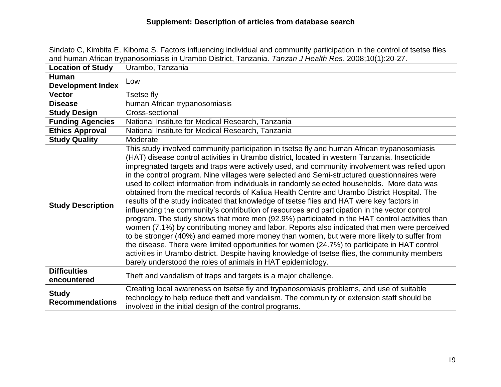| .and human African trypanosomiasis in Urambo District, Tanzania. Tanzan J Health Res. 2008;10(1):20-27 |                                                                                                                                                                                                                                                                                                                                                                                                                                                                                                                                                                                                                                                                                                                                                                                                                                                                                                                                                                                                                                                                                                                                                                                                                                                                                                                                                          |
|--------------------------------------------------------------------------------------------------------|----------------------------------------------------------------------------------------------------------------------------------------------------------------------------------------------------------------------------------------------------------------------------------------------------------------------------------------------------------------------------------------------------------------------------------------------------------------------------------------------------------------------------------------------------------------------------------------------------------------------------------------------------------------------------------------------------------------------------------------------------------------------------------------------------------------------------------------------------------------------------------------------------------------------------------------------------------------------------------------------------------------------------------------------------------------------------------------------------------------------------------------------------------------------------------------------------------------------------------------------------------------------------------------------------------------------------------------------------------|
| <b>Location of Study</b>                                                                               | Urambo, Tanzania                                                                                                                                                                                                                                                                                                                                                                                                                                                                                                                                                                                                                                                                                                                                                                                                                                                                                                                                                                                                                                                                                                                                                                                                                                                                                                                                         |
| <b>Human</b>                                                                                           | Low                                                                                                                                                                                                                                                                                                                                                                                                                                                                                                                                                                                                                                                                                                                                                                                                                                                                                                                                                                                                                                                                                                                                                                                                                                                                                                                                                      |
| <b>Development Index</b>                                                                               |                                                                                                                                                                                                                                                                                                                                                                                                                                                                                                                                                                                                                                                                                                                                                                                                                                                                                                                                                                                                                                                                                                                                                                                                                                                                                                                                                          |
| <b>Vector</b>                                                                                          | Tsetse fly                                                                                                                                                                                                                                                                                                                                                                                                                                                                                                                                                                                                                                                                                                                                                                                                                                                                                                                                                                                                                                                                                                                                                                                                                                                                                                                                               |
| <b>Disease</b>                                                                                         | human African trypanosomiasis                                                                                                                                                                                                                                                                                                                                                                                                                                                                                                                                                                                                                                                                                                                                                                                                                                                                                                                                                                                                                                                                                                                                                                                                                                                                                                                            |
| <b>Study Design</b>                                                                                    | Cross-sectional                                                                                                                                                                                                                                                                                                                                                                                                                                                                                                                                                                                                                                                                                                                                                                                                                                                                                                                                                                                                                                                                                                                                                                                                                                                                                                                                          |
| <b>Funding Agencies</b>                                                                                | National Institute for Medical Research, Tanzania                                                                                                                                                                                                                                                                                                                                                                                                                                                                                                                                                                                                                                                                                                                                                                                                                                                                                                                                                                                                                                                                                                                                                                                                                                                                                                        |
| <b>Ethics Approval</b>                                                                                 | National Institute for Medical Research, Tanzania                                                                                                                                                                                                                                                                                                                                                                                                                                                                                                                                                                                                                                                                                                                                                                                                                                                                                                                                                                                                                                                                                                                                                                                                                                                                                                        |
| <b>Study Quality</b>                                                                                   | Moderate                                                                                                                                                                                                                                                                                                                                                                                                                                                                                                                                                                                                                                                                                                                                                                                                                                                                                                                                                                                                                                                                                                                                                                                                                                                                                                                                                 |
| <b>Study Description</b>                                                                               | This study involved community participation in tsetse fly and human African trypanosomiasis<br>(HAT) disease control activities in Urambo district, located in western Tanzania. Insecticide<br>impregnated targets and traps were actively used, and community involvement was relied upon<br>in the control program. Nine villages were selected and Semi-structured questionnaires were<br>used to collect information from individuals in randomly selected households. More data was<br>obtained from the medical records of Kaliua Health Centre and Urambo District Hospital. The<br>results of the study indicated that knowledge of tsetse flies and HAT were key factors in<br>influencing the community's contribution of resources and participation in the vector control<br>program. The study shows that more men (92.9%) participated in the HAT control activities than<br>women (7.1%) by contributing money and labor. Reports also indicated that men were perceived<br>to be stronger (40%) and earned more money than women, but were more likely to suffer from<br>the disease. There were limited opportunities for women (24.7%) to participate in HAT control<br>activities in Urambo district. Despite having knowledge of tsetse flies, the community members<br>barely understood the roles of animals in HAT epidemiology. |
| <b>Difficulties</b><br>encountered                                                                     | Theft and vandalism of traps and targets is a major challenge.                                                                                                                                                                                                                                                                                                                                                                                                                                                                                                                                                                                                                                                                                                                                                                                                                                                                                                                                                                                                                                                                                                                                                                                                                                                                                           |
| <b>Study</b><br><b>Recommendations</b>                                                                 | Creating local awareness on tsetse fly and trypanosomiasis problems, and use of suitable<br>technology to help reduce theft and vandalism. The community or extension staff should be<br>involved in the initial design of the control programs.                                                                                                                                                                                                                                                                                                                                                                                                                                                                                                                                                                                                                                                                                                                                                                                                                                                                                                                                                                                                                                                                                                         |

Sindato C, Kimbita E, Kiboma S. Factors influencing individual and community participation in the control of tsetse flies and human African trypanosomiasis in Urambo District, Tanzania. *Tanzan J Health Res*. 2008;10(1):20-27.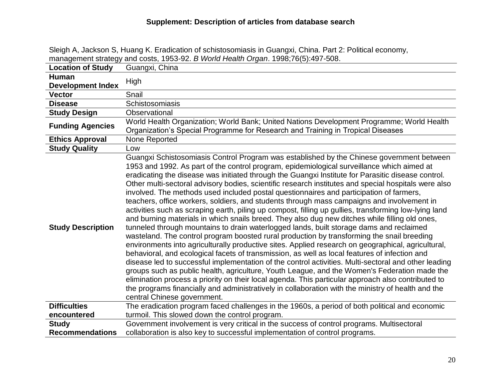|                                          | <u> Management Strategy and Costs, 1955-92. <i>D'Wond Health Organ.</i> 1996,70(5).497-506.</u>                                                                                                                                                                                                                                                                                                                                                                                                                                                                                                                                                                                                                                                                                                                                                                                                                                                                                                                                                                                                                                                                                                                                                                                                                                                                                                                                                                                                                                                                                                                                                              |
|------------------------------------------|--------------------------------------------------------------------------------------------------------------------------------------------------------------------------------------------------------------------------------------------------------------------------------------------------------------------------------------------------------------------------------------------------------------------------------------------------------------------------------------------------------------------------------------------------------------------------------------------------------------------------------------------------------------------------------------------------------------------------------------------------------------------------------------------------------------------------------------------------------------------------------------------------------------------------------------------------------------------------------------------------------------------------------------------------------------------------------------------------------------------------------------------------------------------------------------------------------------------------------------------------------------------------------------------------------------------------------------------------------------------------------------------------------------------------------------------------------------------------------------------------------------------------------------------------------------------------------------------------------------------------------------------------------------|
| <b>Location of Study</b>                 | Guangxi, China                                                                                                                                                                                                                                                                                                                                                                                                                                                                                                                                                                                                                                                                                                                                                                                                                                                                                                                                                                                                                                                                                                                                                                                                                                                                                                                                                                                                                                                                                                                                                                                                                                               |
| <b>Human</b><br><b>Development Index</b> | High                                                                                                                                                                                                                                                                                                                                                                                                                                                                                                                                                                                                                                                                                                                                                                                                                                                                                                                                                                                                                                                                                                                                                                                                                                                                                                                                                                                                                                                                                                                                                                                                                                                         |
| <b>Vector</b>                            | Snail                                                                                                                                                                                                                                                                                                                                                                                                                                                                                                                                                                                                                                                                                                                                                                                                                                                                                                                                                                                                                                                                                                                                                                                                                                                                                                                                                                                                                                                                                                                                                                                                                                                        |
| <b>Disease</b>                           | Schistosomiasis                                                                                                                                                                                                                                                                                                                                                                                                                                                                                                                                                                                                                                                                                                                                                                                                                                                                                                                                                                                                                                                                                                                                                                                                                                                                                                                                                                                                                                                                                                                                                                                                                                              |
| <b>Study Design</b>                      | Observational                                                                                                                                                                                                                                                                                                                                                                                                                                                                                                                                                                                                                                                                                                                                                                                                                                                                                                                                                                                                                                                                                                                                                                                                                                                                                                                                                                                                                                                                                                                                                                                                                                                |
| <b>Funding Agencies</b>                  | World Health Organization; World Bank; United Nations Development Programme; World Health<br>Organization's Special Programme for Research and Training in Tropical Diseases                                                                                                                                                                                                                                                                                                                                                                                                                                                                                                                                                                                                                                                                                                                                                                                                                                                                                                                                                                                                                                                                                                                                                                                                                                                                                                                                                                                                                                                                                 |
| <b>Ethics Approval</b>                   | None Reported                                                                                                                                                                                                                                                                                                                                                                                                                                                                                                                                                                                                                                                                                                                                                                                                                                                                                                                                                                                                                                                                                                                                                                                                                                                                                                                                                                                                                                                                                                                                                                                                                                                |
| <b>Study Quality</b>                     | Low                                                                                                                                                                                                                                                                                                                                                                                                                                                                                                                                                                                                                                                                                                                                                                                                                                                                                                                                                                                                                                                                                                                                                                                                                                                                                                                                                                                                                                                                                                                                                                                                                                                          |
| <b>Study Description</b>                 | Guangxi Schistosomiasis Control Program was established by the Chinese government between<br>1953 and 1992. As part of the control program, epidemiological surveillance which aimed at<br>eradicating the disease was initiated through the Guangxi Institute for Parasitic disease control.<br>Other multi-sectoral advisory bodies, scientific research institutes and special hospitals were also<br>involved. The methods used included postal questionnaires and participation of farmers,<br>teachers, office workers, soldiers, and students through mass campaigns and involvement in<br>activities such as scraping earth, piling up compost, filling up gullies, transforming low-lying land<br>and burning materials in which snails breed. They also dug new ditches while filling old ones,<br>tunneled through mountains to drain waterlogged lands, built storage dams and reclaimed<br>wasteland. The control program boosted rural production by transforming the snail breeding<br>environments into agriculturally productive sites. Applied research on geographical, agricultural,<br>behavioral, and ecological facets of transmission, as well as local features of infection and<br>disease led to successful implementation of the control activities. Multi-sectoral and other leading<br>groups such as public health, agriculture, Youth League, and the Women's Federation made the<br>elimination process a priority on their local agenda. This particular approach also contributed to<br>the programs financially and administratively in collaboration with the ministry of health and the<br>central Chinese government. |
| <b>Difficulties</b>                      | The eradication program faced challenges in the 1960s, a period of both political and economic                                                                                                                                                                                                                                                                                                                                                                                                                                                                                                                                                                                                                                                                                                                                                                                                                                                                                                                                                                                                                                                                                                                                                                                                                                                                                                                                                                                                                                                                                                                                                               |
| encountered                              | turmoil. This slowed down the control program.                                                                                                                                                                                                                                                                                                                                                                                                                                                                                                                                                                                                                                                                                                                                                                                                                                                                                                                                                                                                                                                                                                                                                                                                                                                                                                                                                                                                                                                                                                                                                                                                               |
| <b>Study</b>                             | Government involvement is very critical in the success of control programs. Multisectoral                                                                                                                                                                                                                                                                                                                                                                                                                                                                                                                                                                                                                                                                                                                                                                                                                                                                                                                                                                                                                                                                                                                                                                                                                                                                                                                                                                                                                                                                                                                                                                    |
| <b>Recommendations</b>                   | collaboration is also key to successful implementation of control programs.                                                                                                                                                                                                                                                                                                                                                                                                                                                                                                                                                                                                                                                                                                                                                                                                                                                                                                                                                                                                                                                                                                                                                                                                                                                                                                                                                                                                                                                                                                                                                                                  |

Sleigh A, Jackson S, Huang K. Eradication of schistosomiasis in Guangxi, China. Part 2: Political economy, management strategy and costs, 1953-92. *B World Health Organ*. 1998;76(5):497-508.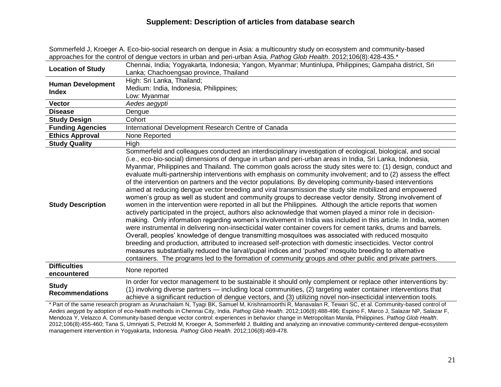Sommerfeld J, Kroeger A. Eco-bio-social research on dengue in Asia: a multicountry study on ecosystem and community-based approaches for the control of dengue vectors in urban and peri-urban Asia. *Pathog Glob Health*. 2012;106(8):428-435.\*

| <b>Location of Study</b>                 | Chennai, India; Yogyakarta, Indonesia; Yangon, Myanmar; Muntinlupa, Philippines; Gampaha district, Sri                                                                                                                                                                                                                                                                                                                                                                                                                                                                                                                                                                                                                                                                                                                                                                                                                                                                                                                                                                                                                                                                                                                                                                                                                                                                                                                                                                                                                                                                                                                                                                                            |
|------------------------------------------|---------------------------------------------------------------------------------------------------------------------------------------------------------------------------------------------------------------------------------------------------------------------------------------------------------------------------------------------------------------------------------------------------------------------------------------------------------------------------------------------------------------------------------------------------------------------------------------------------------------------------------------------------------------------------------------------------------------------------------------------------------------------------------------------------------------------------------------------------------------------------------------------------------------------------------------------------------------------------------------------------------------------------------------------------------------------------------------------------------------------------------------------------------------------------------------------------------------------------------------------------------------------------------------------------------------------------------------------------------------------------------------------------------------------------------------------------------------------------------------------------------------------------------------------------------------------------------------------------------------------------------------------------------------------------------------------------|
|                                          | Lanka; Chachoengsao province, Thailand                                                                                                                                                                                                                                                                                                                                                                                                                                                                                                                                                                                                                                                                                                                                                                                                                                                                                                                                                                                                                                                                                                                                                                                                                                                                                                                                                                                                                                                                                                                                                                                                                                                            |
| <b>Human Development</b><br><b>Index</b> | High: Sri Lanka, Thailand;                                                                                                                                                                                                                                                                                                                                                                                                                                                                                                                                                                                                                                                                                                                                                                                                                                                                                                                                                                                                                                                                                                                                                                                                                                                                                                                                                                                                                                                                                                                                                                                                                                                                        |
|                                          | Medium: India, Indonesia, Philippines;                                                                                                                                                                                                                                                                                                                                                                                                                                                                                                                                                                                                                                                                                                                                                                                                                                                                                                                                                                                                                                                                                                                                                                                                                                                                                                                                                                                                                                                                                                                                                                                                                                                            |
|                                          | Low: Myanmar                                                                                                                                                                                                                                                                                                                                                                                                                                                                                                                                                                                                                                                                                                                                                                                                                                                                                                                                                                                                                                                                                                                                                                                                                                                                                                                                                                                                                                                                                                                                                                                                                                                                                      |
| <b>Vector</b>                            | Aedes aegypti                                                                                                                                                                                                                                                                                                                                                                                                                                                                                                                                                                                                                                                                                                                                                                                                                                                                                                                                                                                                                                                                                                                                                                                                                                                                                                                                                                                                                                                                                                                                                                                                                                                                                     |
| <b>Disease</b>                           | Dengue                                                                                                                                                                                                                                                                                                                                                                                                                                                                                                                                                                                                                                                                                                                                                                                                                                                                                                                                                                                                                                                                                                                                                                                                                                                                                                                                                                                                                                                                                                                                                                                                                                                                                            |
| <b>Study Design</b>                      | Cohort                                                                                                                                                                                                                                                                                                                                                                                                                                                                                                                                                                                                                                                                                                                                                                                                                                                                                                                                                                                                                                                                                                                                                                                                                                                                                                                                                                                                                                                                                                                                                                                                                                                                                            |
| <b>Funding Agencies</b>                  | International Development Research Centre of Canada                                                                                                                                                                                                                                                                                                                                                                                                                                                                                                                                                                                                                                                                                                                                                                                                                                                                                                                                                                                                                                                                                                                                                                                                                                                                                                                                                                                                                                                                                                                                                                                                                                               |
| <b>Ethics Approval</b>                   | None Reported                                                                                                                                                                                                                                                                                                                                                                                                                                                                                                                                                                                                                                                                                                                                                                                                                                                                                                                                                                                                                                                                                                                                                                                                                                                                                                                                                                                                                                                                                                                                                                                                                                                                                     |
| <b>Study Quality</b>                     | High                                                                                                                                                                                                                                                                                                                                                                                                                                                                                                                                                                                                                                                                                                                                                                                                                                                                                                                                                                                                                                                                                                                                                                                                                                                                                                                                                                                                                                                                                                                                                                                                                                                                                              |
| <b>Study Description</b>                 | Sommerfeld and colleagues conducted an interdisciplinary investigation of ecological, biological, and social<br>(i.e., eco-bio-social) dimensions of dengue in urban and peri-urban areas in India, Sri Lanka, Indonesia,<br>Myanmar, Philippines and Thailand. The common goals across the study sites were to: (1) design, conduct and<br>evaluate multi-partnership interventions with emphasis on community involvement; and to (2) assess the effect<br>of the intervention on partners and the vector populations. By developing community-based interventions<br>aimed at reducing dengue vector breeding and viral transmission the study site mobilized and empowered<br>women's group as well as student and community groups to decrease vector density. Strong involvement of<br>women in the intervention were reported in all but the Philippines. Although the article reports that women<br>actively participated in the project, authors also acknowledge that women played a minor role in decision-<br>making. Only information regarding women's involvement in India was included in this article. In India, women<br>were instrumental in delivering non-insecticidal water container covers for cement tanks, drums and barrels.<br>Overall, peoples' knowledge of dengue transmitting mosquitoes was associated with reduced mosquito<br>breeding and production, attributed to increased self-protection with domestic insecticides. Vector control<br>measures substantially reduced the larval/pupal indices and 'pushed' mosquito breeding to alternative<br>containers. The programs led to the formation of community groups and other public and private partners. |
| <b>Difficulties</b><br>encountered       | None reported                                                                                                                                                                                                                                                                                                                                                                                                                                                                                                                                                                                                                                                                                                                                                                                                                                                                                                                                                                                                                                                                                                                                                                                                                                                                                                                                                                                                                                                                                                                                                                                                                                                                                     |
| <b>Study</b><br><b>Recommendations</b>   | In order for vector management to be sustainable it should only complement or replace other interventions by:<br>(1) involving diverse partners — including local communities, (2) targeting water container interventions that<br>achieve a significant reduction of dengue vectors, and (3) utilizing novel non-insecticidal intervention tools.                                                                                                                                                                                                                                                                                                                                                                                                                                                                                                                                                                                                                                                                                                                                                                                                                                                                                                                                                                                                                                                                                                                                                                                                                                                                                                                                                |

\* Part of the same research program as Arunachalam N, Tyagi BK, Samuel M, Krishnamoorthi R, Manavalan R, Tewari SC, et al. Community-based control of *Aedes aegypti* by adoption of eco-health methods in Chennai City, India. *Pathog Glob Health*. 2012;106(8):488-496; Espino F, Marco J, Salazar NP, Salazar F, Mendoza Y, Velazco A. Community-based dengue vector control: experiences in behavior change in Metropolitan Manila, Philippines. *Pathog Glob Health*. 2012;106(8):455-460; Tana S, Umniyati S, Petzold M, Kroeger A, Sommerfeld J. Building and analyzing an innovative community-centered dengue-ecosystem management intervention in Yogyakarta, Indonesia. *Pathog Glob Health*. 2012;106(8):469-478.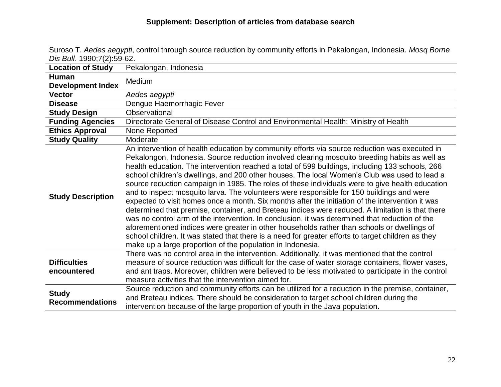Suroso T. *Aedes aegypti*, control through source reduction by community efforts in Pekalongan, Indonesia. *Mosq Borne Dis Bull*. 1990;7(2):59-62.

| <b>Location of Study</b>                 | Pekalongan, Indonesia                                                                                                                                                                                                                                                                                                                                                                                                                                                                                                                                                                                                                                                                                                                                                                                                                                                                                                                                                                                                                                                                                                                                                          |
|------------------------------------------|--------------------------------------------------------------------------------------------------------------------------------------------------------------------------------------------------------------------------------------------------------------------------------------------------------------------------------------------------------------------------------------------------------------------------------------------------------------------------------------------------------------------------------------------------------------------------------------------------------------------------------------------------------------------------------------------------------------------------------------------------------------------------------------------------------------------------------------------------------------------------------------------------------------------------------------------------------------------------------------------------------------------------------------------------------------------------------------------------------------------------------------------------------------------------------|
| <b>Human</b><br><b>Development Index</b> | Medium                                                                                                                                                                                                                                                                                                                                                                                                                                                                                                                                                                                                                                                                                                                                                                                                                                                                                                                                                                                                                                                                                                                                                                         |
| <b>Vector</b>                            | Aedes aegypti                                                                                                                                                                                                                                                                                                                                                                                                                                                                                                                                                                                                                                                                                                                                                                                                                                                                                                                                                                                                                                                                                                                                                                  |
| <b>Disease</b>                           | Dengue Haemorrhagic Fever                                                                                                                                                                                                                                                                                                                                                                                                                                                                                                                                                                                                                                                                                                                                                                                                                                                                                                                                                                                                                                                                                                                                                      |
| <b>Study Design</b>                      | Observational                                                                                                                                                                                                                                                                                                                                                                                                                                                                                                                                                                                                                                                                                                                                                                                                                                                                                                                                                                                                                                                                                                                                                                  |
| <b>Funding Agencies</b>                  | Directorate General of Disease Control and Environmental Health; Ministry of Health                                                                                                                                                                                                                                                                                                                                                                                                                                                                                                                                                                                                                                                                                                                                                                                                                                                                                                                                                                                                                                                                                            |
| <b>Ethics Approval</b>                   | None Reported                                                                                                                                                                                                                                                                                                                                                                                                                                                                                                                                                                                                                                                                                                                                                                                                                                                                                                                                                                                                                                                                                                                                                                  |
| <b>Study Quality</b>                     | Moderate                                                                                                                                                                                                                                                                                                                                                                                                                                                                                                                                                                                                                                                                                                                                                                                                                                                                                                                                                                                                                                                                                                                                                                       |
| <b>Study Description</b>                 | An intervention of health education by community efforts via source reduction was executed in<br>Pekalongon, Indonesia. Source reduction involved clearing mosquito breeding habits as well as<br>health education. The intervention reached a total of 599 buildings, including 133 schools, 266<br>school children's dwellings, and 200 other houses. The local Women's Club was used to lead a<br>source reduction campaign in 1985. The roles of these individuals were to give health education<br>and to inspect mosquito larva. The volunteers were responsible for 150 buildings and were<br>expected to visit homes once a month. Six months after the initiation of the intervention it was<br>determined that premise, container, and Breteau indices were reduced. A limitation is that there<br>was no control arm of the intervention. In conclusion, it was determined that reduction of the<br>aforementioned indices were greater in other households rather than schools or dwellings of<br>school children. It was stated that there is a need for greater efforts to target children as they<br>make up a large proportion of the population in Indonesia. |
| <b>Difficulties</b><br>encountered       | There was no control area in the intervention. Additionally, it was mentioned that the control<br>measure of source reduction was difficult for the case of water storage containers, flower vases,<br>and ant traps. Moreover, children were believed to be less motivated to participate in the control<br>measure activities that the intervention aimed for.                                                                                                                                                                                                                                                                                                                                                                                                                                                                                                                                                                                                                                                                                                                                                                                                               |
| <b>Study</b><br><b>Recommendations</b>   | Source reduction and community efforts can be utilized for a reduction in the premise, container,<br>and Breteau indices. There should be consideration to target school children during the<br>intervention because of the large proportion of youth in the Java population.                                                                                                                                                                                                                                                                                                                                                                                                                                                                                                                                                                                                                                                                                                                                                                                                                                                                                                  |